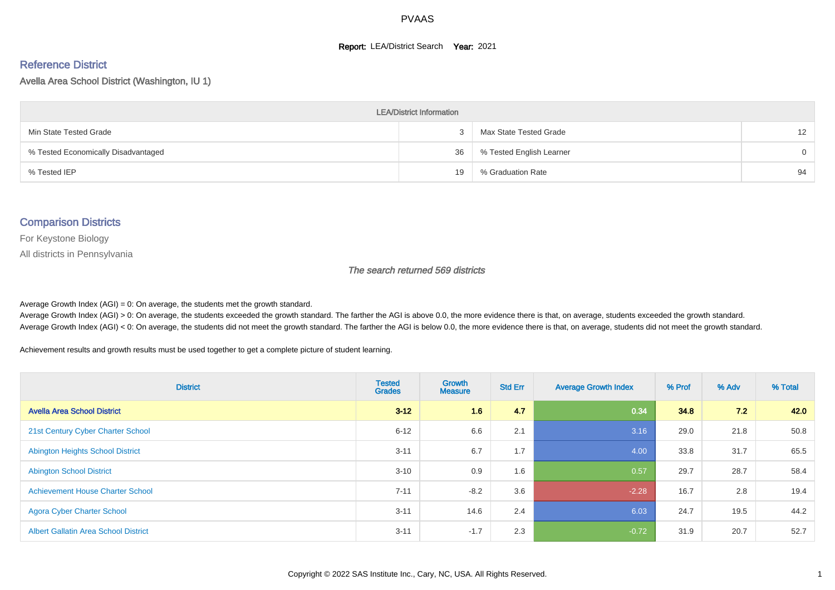#### **Report: LEA/District Search Year: 2021**

#### Reference District

Avella Area School District (Washington, IU 1)

| <b>LEA/District Information</b>     |    |                          |                   |  |  |  |  |  |  |  |
|-------------------------------------|----|--------------------------|-------------------|--|--|--|--|--|--|--|
| Min State Tested Grade              |    | Max State Tested Grade   | $12 \overline{ }$ |  |  |  |  |  |  |  |
| % Tested Economically Disadvantaged | 36 | % Tested English Learner | $\Omega$          |  |  |  |  |  |  |  |
| % Tested IEP                        | 19 | % Graduation Rate        | 94                |  |  |  |  |  |  |  |

#### Comparison Districts

For Keystone Biology

All districts in Pennsylvania

The search returned 569 districts

Average Growth Index  $(AGI) = 0$ : On average, the students met the growth standard.

Average Growth Index (AGI) > 0: On average, the students exceeded the growth standard. The farther the AGI is above 0.0, the more evidence there is that, on average, students exceeded the growth standard. Average Growth Index (AGI) < 0: On average, the students did not meet the growth standard. The farther the AGI is below 0.0, the more evidence there is that, on average, students did not meet the growth standard.

Achievement results and growth results must be used together to get a complete picture of student learning.

| <b>District</b>                             | <b>Tested</b><br><b>Grades</b> | <b>Growth</b><br><b>Measure</b> | <b>Std Err</b> | <b>Average Growth Index</b> | % Prof | % Adv | % Total |
|---------------------------------------------|--------------------------------|---------------------------------|----------------|-----------------------------|--------|-------|---------|
| <b>Avella Area School District</b>          | $3 - 12$                       | 1.6                             | 4.7            | 0.34                        | 34.8   | 7.2   | 42.0    |
| 21st Century Cyber Charter School           | $6 - 12$                       | 6.6                             | 2.1            | 3.16                        | 29.0   | 21.8  | 50.8    |
| <b>Abington Heights School District</b>     | $3 - 11$                       | 6.7                             | 1.7            | 4.00                        | 33.8   | 31.7  | 65.5    |
| <b>Abington School District</b>             | $3 - 10$                       | 0.9                             | 1.6            | 0.57                        | 29.7   | 28.7  | 58.4    |
| <b>Achievement House Charter School</b>     | $7 - 11$                       | $-8.2$                          | 3.6            | $-2.28$                     | 16.7   | 2.8   | 19.4    |
| <b>Agora Cyber Charter School</b>           | $3 - 11$                       | 14.6                            | 2.4            | 6.03                        | 24.7   | 19.5  | 44.2    |
| <b>Albert Gallatin Area School District</b> | $3 - 11$                       | $-1.7$                          | 2.3            | $-0.72$                     | 31.9   | 20.7  | 52.7    |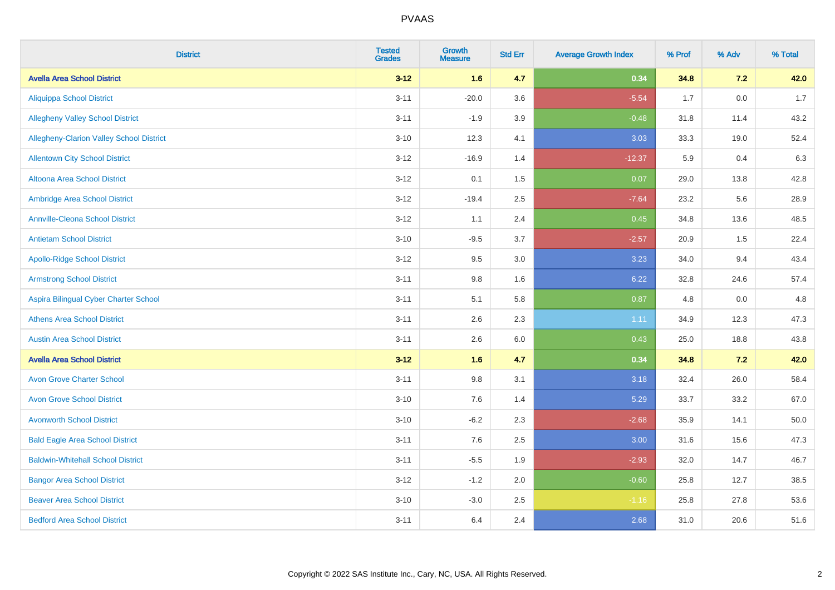| <b>District</b>                          | <b>Tested</b><br><b>Grades</b> | <b>Growth</b><br><b>Measure</b> | <b>Std Err</b> | <b>Average Growth Index</b> | % Prof | % Adv | % Total |
|------------------------------------------|--------------------------------|---------------------------------|----------------|-----------------------------|--------|-------|---------|
| <b>Avella Area School District</b>       | $3 - 12$                       | 1.6                             | 4.7            | 0.34                        | 34.8   | 7.2   | 42.0    |
| <b>Aliquippa School District</b>         | $3 - 11$                       | $-20.0$                         | 3.6            | $-5.54$                     | 1.7    | 0.0   | 1.7     |
| <b>Allegheny Valley School District</b>  | $3 - 11$                       | $-1.9$                          | 3.9            | $-0.48$                     | 31.8   | 11.4  | 43.2    |
| Allegheny-Clarion Valley School District | $3 - 10$                       | 12.3                            | 4.1            | 3.03                        | 33.3   | 19.0  | 52.4    |
| <b>Allentown City School District</b>    | $3 - 12$                       | $-16.9$                         | 1.4            | $-12.37$                    | 5.9    | 0.4   | 6.3     |
| <b>Altoona Area School District</b>      | $3 - 12$                       | 0.1                             | 1.5            | 0.07                        | 29.0   | 13.8  | 42.8    |
| Ambridge Area School District            | $3 - 12$                       | $-19.4$                         | 2.5            | $-7.64$                     | 23.2   | 5.6   | 28.9    |
| <b>Annville-Cleona School District</b>   | $3 - 12$                       | 1.1                             | 2.4            | 0.45                        | 34.8   | 13.6  | 48.5    |
| <b>Antietam School District</b>          | $3 - 10$                       | $-9.5$                          | 3.7            | $-2.57$                     | 20.9   | 1.5   | 22.4    |
| <b>Apollo-Ridge School District</b>      | $3 - 12$                       | 9.5                             | 3.0            | 3.23                        | 34.0   | 9.4   | 43.4    |
| <b>Armstrong School District</b>         | $3 - 11$                       | 9.8                             | 1.6            | 6.22                        | 32.8   | 24.6  | 57.4    |
| Aspira Bilingual Cyber Charter School    | $3 - 11$                       | 5.1                             | 5.8            | 0.87                        | 4.8    | 0.0   | 4.8     |
| <b>Athens Area School District</b>       | $3 - 11$                       | 2.6                             | 2.3            | 1.11                        | 34.9   | 12.3  | 47.3    |
| <b>Austin Area School District</b>       | $3 - 11$                       | 2.6                             | 6.0            | 0.43                        | 25.0   | 18.8  | 43.8    |
| <b>Avella Area School District</b>       | $3 - 12$                       | 1.6                             | 4.7            | 0.34                        | 34.8   | 7.2   | 42.0    |
| <b>Avon Grove Charter School</b>         | $3 - 11$                       | $9.8\,$                         | 3.1            | 3.18                        | 32.4   | 26.0  | 58.4    |
| <b>Avon Grove School District</b>        | $3 - 10$                       | 7.6                             | 1.4            | 5.29                        | 33.7   | 33.2  | 67.0    |
| <b>Avonworth School District</b>         | $3 - 10$                       | $-6.2$                          | 2.3            | $-2.68$                     | 35.9   | 14.1  | 50.0    |
| <b>Bald Eagle Area School District</b>   | $3 - 11$                       | 7.6                             | 2.5            | 3.00                        | 31.6   | 15.6  | 47.3    |
| <b>Baldwin-Whitehall School District</b> | $3 - 11$                       | $-5.5$                          | 1.9            | $-2.93$                     | 32.0   | 14.7  | 46.7    |
| <b>Bangor Area School District</b>       | $3 - 12$                       | $-1.2$                          | 2.0            | $-0.60$                     | 25.8   | 12.7  | 38.5    |
| <b>Beaver Area School District</b>       | $3 - 10$                       | $-3.0$                          | 2.5            | $-1.16$                     | 25.8   | 27.8  | 53.6    |
| <b>Bedford Area School District</b>      | $3 - 11$                       | 6.4                             | 2.4            | 2.68                        | 31.0   | 20.6  | 51.6    |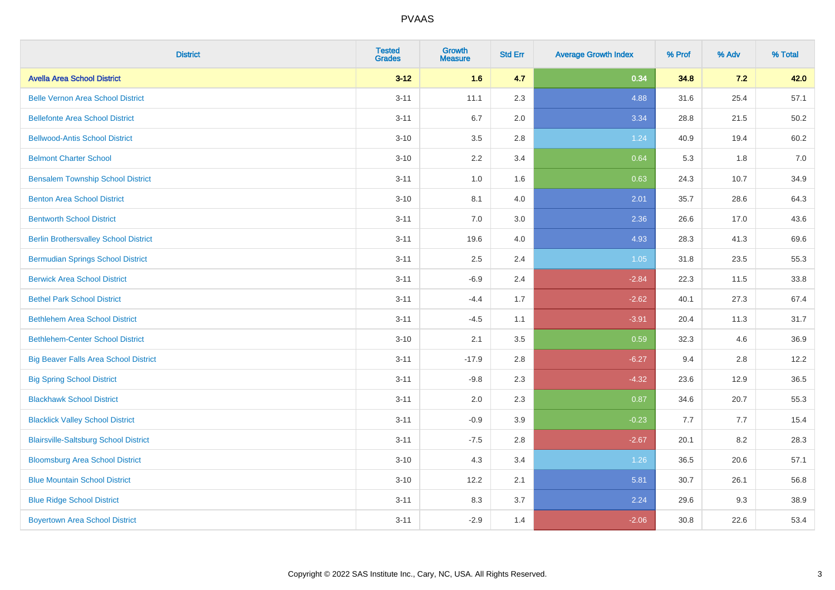| <b>District</b>                              | <b>Tested</b><br><b>Grades</b> | <b>Growth</b><br><b>Measure</b> | <b>Std Err</b> | <b>Average Growth Index</b> | % Prof | % Adv | % Total |
|----------------------------------------------|--------------------------------|---------------------------------|----------------|-----------------------------|--------|-------|---------|
| <b>Avella Area School District</b>           | $3 - 12$                       | 1.6                             | 4.7            | 0.34                        | 34.8   | 7.2   | 42.0    |
| <b>Belle Vernon Area School District</b>     | $3 - 11$                       | 11.1                            | 2.3            | 4.88                        | 31.6   | 25.4  | 57.1    |
| <b>Bellefonte Area School District</b>       | $3 - 11$                       | 6.7                             | 2.0            | 3.34                        | 28.8   | 21.5  | 50.2    |
| <b>Bellwood-Antis School District</b>        | $3 - 10$                       | 3.5                             | 2.8            | 1.24                        | 40.9   | 19.4  | 60.2    |
| <b>Belmont Charter School</b>                | $3 - 10$                       | 2.2                             | 3.4            | 0.64                        | 5.3    | 1.8   | 7.0     |
| <b>Bensalem Township School District</b>     | $3 - 11$                       | 1.0                             | 1.6            | 0.63                        | 24.3   | 10.7  | 34.9    |
| <b>Benton Area School District</b>           | $3 - 10$                       | 8.1                             | 4.0            | 2.01                        | 35.7   | 28.6  | 64.3    |
| <b>Bentworth School District</b>             | $3 - 11$                       | 7.0                             | 3.0            | 2.36                        | 26.6   | 17.0  | 43.6    |
| <b>Berlin Brothersvalley School District</b> | $3 - 11$                       | 19.6                            | 4.0            | 4.93                        | 28.3   | 41.3  | 69.6    |
| <b>Bermudian Springs School District</b>     | $3 - 11$                       | 2.5                             | 2.4            | 1.05                        | 31.8   | 23.5  | 55.3    |
| <b>Berwick Area School District</b>          | $3 - 11$                       | $-6.9$                          | 2.4            | $-2.84$                     | 22.3   | 11.5  | 33.8    |
| <b>Bethel Park School District</b>           | $3 - 11$                       | $-4.4$                          | 1.7            | $-2.62$                     | 40.1   | 27.3  | 67.4    |
| <b>Bethlehem Area School District</b>        | $3 - 11$                       | $-4.5$                          | 1.1            | $-3.91$                     | 20.4   | 11.3  | 31.7    |
| <b>Bethlehem-Center School District</b>      | $3 - 10$                       | 2.1                             | 3.5            | 0.59                        | 32.3   | 4.6   | 36.9    |
| <b>Big Beaver Falls Area School District</b> | $3 - 11$                       | $-17.9$                         | 2.8            | $-6.27$                     | 9.4    | 2.8   | 12.2    |
| <b>Big Spring School District</b>            | $3 - 11$                       | $-9.8$                          | 2.3            | $-4.32$                     | 23.6   | 12.9  | 36.5    |
| <b>Blackhawk School District</b>             | $3 - 11$                       | 2.0                             | 2.3            | 0.87                        | 34.6   | 20.7  | 55.3    |
| <b>Blacklick Valley School District</b>      | $3 - 11$                       | $-0.9$                          | 3.9            | $-0.23$                     | 7.7    | 7.7   | 15.4    |
| <b>Blairsville-Saltsburg School District</b> | $3 - 11$                       | $-7.5$                          | 2.8            | $-2.67$                     | 20.1   | 8.2   | 28.3    |
| <b>Bloomsburg Area School District</b>       | $3 - 10$                       | 4.3                             | 3.4            | 1.26                        | 36.5   | 20.6  | 57.1    |
| <b>Blue Mountain School District</b>         | $3 - 10$                       | 12.2                            | 2.1            | 5.81                        | 30.7   | 26.1  | 56.8    |
| <b>Blue Ridge School District</b>            | $3 - 11$                       | 8.3                             | 3.7            | 2.24                        | 29.6   | 9.3   | 38.9    |
| <b>Boyertown Area School District</b>        | $3 - 11$                       | $-2.9$                          | 1.4            | $-2.06$                     | 30.8   | 22.6  | 53.4    |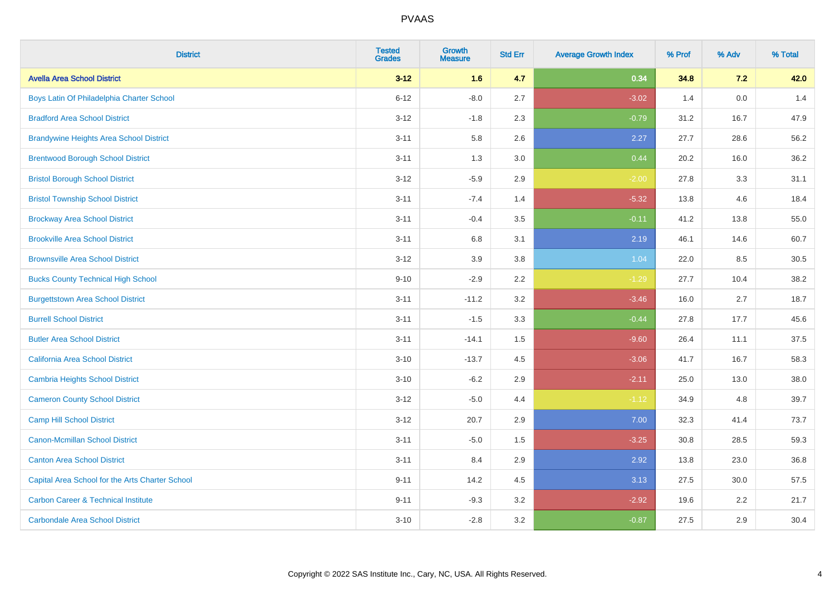| <b>District</b>                                 | <b>Tested</b><br><b>Grades</b> | <b>Growth</b><br><b>Measure</b> | <b>Std Err</b> | <b>Average Growth Index</b> | % Prof | % Adv   | % Total |
|-------------------------------------------------|--------------------------------|---------------------------------|----------------|-----------------------------|--------|---------|---------|
| <b>Avella Area School District</b>              | $3 - 12$                       | 1.6                             | 4.7            | 0.34                        | 34.8   | 7.2     | 42.0    |
| Boys Latin Of Philadelphia Charter School       | $6 - 12$                       | $-8.0$                          | 2.7            | $-3.02$                     | 1.4    | $0.0\,$ | 1.4     |
| <b>Bradford Area School District</b>            | $3 - 12$                       | $-1.8$                          | 2.3            | $-0.79$                     | 31.2   | 16.7    | 47.9    |
| <b>Brandywine Heights Area School District</b>  | $3 - 11$                       | 5.8                             | 2.6            | 2.27                        | 27.7   | 28.6    | 56.2    |
| <b>Brentwood Borough School District</b>        | $3 - 11$                       | 1.3                             | 3.0            | 0.44                        | 20.2   | 16.0    | 36.2    |
| <b>Bristol Borough School District</b>          | $3 - 12$                       | $-5.9$                          | 2.9            | $-2.00$                     | 27.8   | 3.3     | 31.1    |
| <b>Bristol Township School District</b>         | $3 - 11$                       | $-7.4$                          | 1.4            | $-5.32$                     | 13.8   | 4.6     | 18.4    |
| <b>Brockway Area School District</b>            | $3 - 11$                       | $-0.4$                          | 3.5            | $-0.11$                     | 41.2   | 13.8    | 55.0    |
| <b>Brookville Area School District</b>          | $3 - 11$                       | 6.8                             | 3.1            | 2.19                        | 46.1   | 14.6    | 60.7    |
| <b>Brownsville Area School District</b>         | $3 - 12$                       | 3.9                             | 3.8            | 1.04                        | 22.0   | 8.5     | 30.5    |
| <b>Bucks County Technical High School</b>       | $9 - 10$                       | $-2.9$                          | 2.2            | $-1.29$                     | 27.7   | 10.4    | 38.2    |
| <b>Burgettstown Area School District</b>        | $3 - 11$                       | $-11.2$                         | 3.2            | $-3.46$                     | 16.0   | 2.7     | 18.7    |
| <b>Burrell School District</b>                  | $3 - 11$                       | $-1.5$                          | 3.3            | $-0.44$                     | 27.8   | 17.7    | 45.6    |
| <b>Butler Area School District</b>              | $3 - 11$                       | $-14.1$                         | $1.5$          | $-9.60$                     | 26.4   | 11.1    | 37.5    |
| <b>California Area School District</b>          | $3 - 10$                       | $-13.7$                         | 4.5            | $-3.06$                     | 41.7   | 16.7    | 58.3    |
| <b>Cambria Heights School District</b>          | $3 - 10$                       | $-6.2$                          | 2.9            | $-2.11$                     | 25.0   | 13.0    | 38.0    |
| <b>Cameron County School District</b>           | $3 - 12$                       | $-5.0$                          | 4.4            | $-1.12$                     | 34.9   | 4.8     | 39.7    |
| <b>Camp Hill School District</b>                | $3 - 12$                       | 20.7                            | 2.9            | 7.00                        | 32.3   | 41.4    | 73.7    |
| <b>Canon-Mcmillan School District</b>           | $3 - 11$                       | $-5.0$                          | $1.5$          | $-3.25$                     | 30.8   | 28.5    | 59.3    |
| <b>Canton Area School District</b>              | $3 - 11$                       | 8.4                             | 2.9            | 2.92                        | 13.8   | 23.0    | 36.8    |
| Capital Area School for the Arts Charter School | $9 - 11$                       | 14.2                            | 4.5            | 3.13                        | 27.5   | 30.0    | 57.5    |
| <b>Carbon Career &amp; Technical Institute</b>  | $9 - 11$                       | $-9.3$                          | 3.2            | $-2.92$                     | 19.6   | 2.2     | 21.7    |
| <b>Carbondale Area School District</b>          | $3 - 10$                       | $-2.8$                          | 3.2            | $-0.87$                     | 27.5   | 2.9     | 30.4    |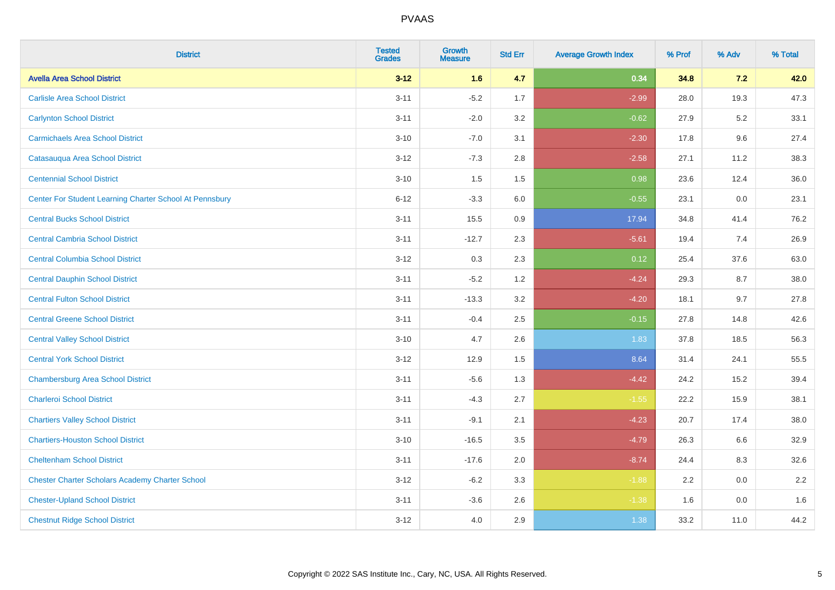| <b>District</b>                                         | <b>Tested</b><br><b>Grades</b> | <b>Growth</b><br><b>Measure</b> | <b>Std Err</b> | <b>Average Growth Index</b> | % Prof | % Adv   | % Total |
|---------------------------------------------------------|--------------------------------|---------------------------------|----------------|-----------------------------|--------|---------|---------|
| <b>Avella Area School District</b>                      | $3 - 12$                       | 1.6                             | 4.7            | 0.34                        | 34.8   | 7.2     | 42.0    |
| <b>Carlisle Area School District</b>                    | $3 - 11$                       | $-5.2$                          | 1.7            | $-2.99$                     | 28.0   | 19.3    | 47.3    |
| <b>Carlynton School District</b>                        | $3 - 11$                       | $-2.0$                          | 3.2            | $-0.62$                     | 27.9   | 5.2     | 33.1    |
| <b>Carmichaels Area School District</b>                 | $3 - 10$                       | $-7.0$                          | 3.1            | $-2.30$                     | 17.8   | 9.6     | 27.4    |
| Catasauqua Area School District                         | $3 - 12$                       | $-7.3$                          | 2.8            | $-2.58$                     | 27.1   | 11.2    | 38.3    |
| <b>Centennial School District</b>                       | $3 - 10$                       | 1.5                             | 1.5            | 0.98                        | 23.6   | 12.4    | 36.0    |
| Center For Student Learning Charter School At Pennsbury | $6 - 12$                       | $-3.3$                          | 6.0            | $-0.55$                     | 23.1   | 0.0     | 23.1    |
| <b>Central Bucks School District</b>                    | $3 - 11$                       | 15.5                            | 0.9            | 17.94                       | 34.8   | 41.4    | 76.2    |
| <b>Central Cambria School District</b>                  | $3 - 11$                       | $-12.7$                         | 2.3            | $-5.61$                     | 19.4   | 7.4     | 26.9    |
| <b>Central Columbia School District</b>                 | $3-12$                         | 0.3                             | 2.3            | 0.12                        | 25.4   | 37.6    | 63.0    |
| <b>Central Dauphin School District</b>                  | $3 - 11$                       | $-5.2$                          | 1.2            | $-4.24$                     | 29.3   | 8.7     | 38.0    |
| <b>Central Fulton School District</b>                   | $3 - 11$                       | $-13.3$                         | 3.2            | $-4.20$                     | 18.1   | 9.7     | 27.8    |
| <b>Central Greene School District</b>                   | $3 - 11$                       | $-0.4$                          | 2.5            | $-0.15$                     | 27.8   | 14.8    | 42.6    |
| <b>Central Valley School District</b>                   | $3 - 10$                       | 4.7                             | 2.6            | 1.83                        | 37.8   | 18.5    | 56.3    |
| <b>Central York School District</b>                     | $3-12$                         | 12.9                            | 1.5            | 8.64                        | 31.4   | 24.1    | 55.5    |
| <b>Chambersburg Area School District</b>                | $3 - 11$                       | $-5.6$                          | 1.3            | $-4.42$                     | 24.2   | 15.2    | 39.4    |
| <b>Charleroi School District</b>                        | $3 - 11$                       | $-4.3$                          | 2.7            | $-1.55$                     | 22.2   | 15.9    | 38.1    |
| <b>Chartiers Valley School District</b>                 | $3 - 11$                       | $-9.1$                          | 2.1            | $-4.23$                     | 20.7   | 17.4    | 38.0    |
| <b>Chartiers-Houston School District</b>                | $3 - 10$                       | $-16.5$                         | 3.5            | $-4.79$                     | 26.3   | 6.6     | 32.9    |
| <b>Cheltenham School District</b>                       | $3 - 11$                       | $-17.6$                         | 2.0            | $-8.74$                     | 24.4   | 8.3     | 32.6    |
| <b>Chester Charter Scholars Academy Charter School</b>  | $3 - 12$                       | $-6.2$                          | 3.3            | $-1.88$                     | 2.2    | 0.0     | 2.2     |
| <b>Chester-Upland School District</b>                   | $3 - 11$                       | $-3.6$                          | 2.6            | $-1.38$                     | 1.6    | $0.0\,$ | 1.6     |
| <b>Chestnut Ridge School District</b>                   | $3-12$                         | 4.0                             | 2.9            | 1.38                        | 33.2   | 11.0    | 44.2    |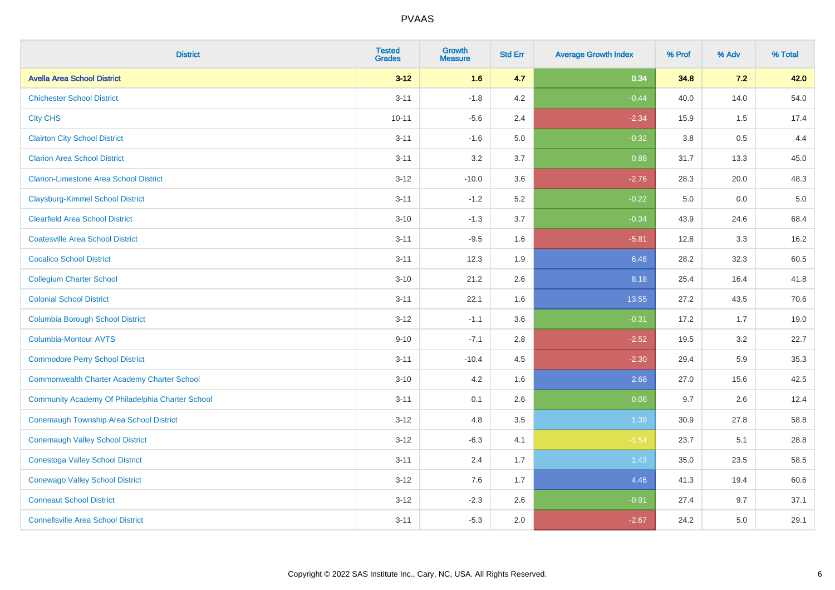| <b>District</b>                                    | <b>Tested</b><br><b>Grades</b> | Growth<br><b>Measure</b> | <b>Std Err</b> | <b>Average Growth Index</b> | % Prof  | % Adv | % Total |
|----------------------------------------------------|--------------------------------|--------------------------|----------------|-----------------------------|---------|-------|---------|
| <b>Avella Area School District</b>                 | $3 - 12$                       | 1.6                      | 4.7            | 0.34                        | 34.8    | 7.2   | 42.0    |
| <b>Chichester School District</b>                  | $3 - 11$                       | $-1.8$                   | 4.2            | $-0.44$                     | 40.0    | 14.0  | 54.0    |
| <b>City CHS</b>                                    | $10 - 11$                      | $-5.6$                   | 2.4            | $-2.34$                     | 15.9    | 1.5   | 17.4    |
| <b>Clairton City School District</b>               | $3 - 11$                       | $-1.6$                   | 5.0            | $-0.32$                     | $3.8\,$ | 0.5   | 4.4     |
| <b>Clarion Area School District</b>                | $3 - 11$                       | 3.2                      | 3.7            | 0.88                        | 31.7    | 13.3  | 45.0    |
| <b>Clarion-Limestone Area School District</b>      | $3 - 12$                       | $-10.0$                  | 3.6            | $-2.76$                     | 28.3    | 20.0  | 48.3    |
| <b>Claysburg-Kimmel School District</b>            | $3 - 11$                       | $-1.2$                   | 5.2            | $-0.22$                     | 5.0     | 0.0   | $5.0$   |
| <b>Clearfield Area School District</b>             | $3 - 10$                       | $-1.3$                   | 3.7            | $-0.34$                     | 43.9    | 24.6  | 68.4    |
| <b>Coatesville Area School District</b>            | $3 - 11$                       | $-9.5$                   | 1.6            | $-5.81$                     | 12.8    | 3.3   | 16.2    |
| <b>Cocalico School District</b>                    | $3 - 11$                       | 12.3                     | 1.9            | 6.48                        | 28.2    | 32.3  | 60.5    |
| <b>Collegium Charter School</b>                    | $3 - 10$                       | 21.2                     | 2.6            | 8.18                        | 25.4    | 16.4  | 41.8    |
| <b>Colonial School District</b>                    | $3 - 11$                       | 22.1                     | 1.6            | 13.55                       | 27.2    | 43.5  | 70.6    |
| <b>Columbia Borough School District</b>            | $3 - 12$                       | $-1.1$                   | 3.6            | $-0.31$                     | 17.2    | 1.7   | 19.0    |
| Columbia-Montour AVTS                              | $9 - 10$                       | $-7.1$                   | 2.8            | $-2.52$                     | 19.5    | 3.2   | 22.7    |
| <b>Commodore Perry School District</b>             | $3 - 11$                       | $-10.4$                  | 4.5            | $-2.30$                     | 29.4    | 5.9   | 35.3    |
| <b>Commonwealth Charter Academy Charter School</b> | $3 - 10$                       | 4.2                      | 1.6            | 2.68                        | 27.0    | 15.6  | 42.5    |
| Community Academy Of Philadelphia Charter School   | $3 - 11$                       | 0.1                      | 2.6            | 0.06                        | 9.7     | 2.6   | 12.4    |
| Conemaugh Township Area School District            | $3 - 12$                       | 4.8                      | 3.5            | 1.39                        | 30.9    | 27.8  | 58.8    |
| <b>Conemaugh Valley School District</b>            | $3 - 12$                       | $-6.3$                   | 4.1            | $-1.54$                     | 23.7    | 5.1   | 28.8    |
| <b>Conestoga Valley School District</b>            | $3 - 11$                       | 2.4                      | 1.7            | 1.43                        | 35.0    | 23.5  | 58.5    |
| <b>Conewago Valley School District</b>             | $3 - 12$                       | 7.6                      | 1.7            | 4.46                        | 41.3    | 19.4  | 60.6    |
| <b>Conneaut School District</b>                    | $3 - 12$                       | $-2.3$                   | 2.6            | $-0.91$                     | 27.4    | 9.7   | 37.1    |
| <b>Connellsville Area School District</b>          | $3 - 11$                       | $-5.3$                   | 2.0            | $-2.67$                     | 24.2    | 5.0   | 29.1    |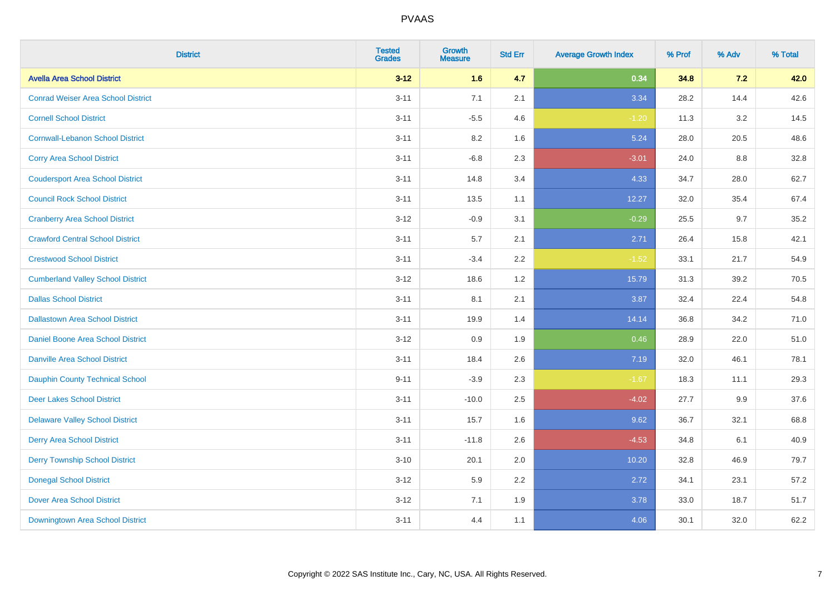| <b>District</b>                           | <b>Tested</b><br><b>Grades</b> | <b>Growth</b><br><b>Measure</b> | <b>Std Err</b> | <b>Average Growth Index</b> | % Prof | % Adv | % Total |
|-------------------------------------------|--------------------------------|---------------------------------|----------------|-----------------------------|--------|-------|---------|
| <b>Avella Area School District</b>        | $3 - 12$                       | 1.6                             | 4.7            | 0.34                        | 34.8   | 7.2   | 42.0    |
| <b>Conrad Weiser Area School District</b> | $3 - 11$                       | 7.1                             | 2.1            | 3.34                        | 28.2   | 14.4  | 42.6    |
| <b>Cornell School District</b>            | $3 - 11$                       | $-5.5$                          | 4.6            | $-1.20$                     | 11.3   | 3.2   | 14.5    |
| <b>Cornwall-Lebanon School District</b>   | $3 - 11$                       | 8.2                             | 1.6            | 5.24                        | 28.0   | 20.5  | 48.6    |
| <b>Corry Area School District</b>         | $3 - 11$                       | $-6.8$                          | 2.3            | $-3.01$                     | 24.0   | 8.8   | 32.8    |
| <b>Coudersport Area School District</b>   | $3 - 11$                       | 14.8                            | 3.4            | 4.33                        | 34.7   | 28.0  | 62.7    |
| <b>Council Rock School District</b>       | $3 - 11$                       | 13.5                            | 1.1            | 12.27                       | 32.0   | 35.4  | 67.4    |
| <b>Cranberry Area School District</b>     | $3 - 12$                       | $-0.9$                          | 3.1            | $-0.29$                     | 25.5   | 9.7   | 35.2    |
| <b>Crawford Central School District</b>   | $3 - 11$                       | 5.7                             | 2.1            | 2.71                        | 26.4   | 15.8  | 42.1    |
| <b>Crestwood School District</b>          | $3 - 11$                       | $-3.4$                          | 2.2            | $-1.52$                     | 33.1   | 21.7  | 54.9    |
| <b>Cumberland Valley School District</b>  | $3 - 12$                       | 18.6                            | 1.2            | 15.79                       | 31.3   | 39.2  | 70.5    |
| <b>Dallas School District</b>             | $3 - 11$                       | 8.1                             | 2.1            | 3.87                        | 32.4   | 22.4  | 54.8    |
| <b>Dallastown Area School District</b>    | $3 - 11$                       | 19.9                            | 1.4            | 14.14                       | 36.8   | 34.2  | 71.0    |
| <b>Daniel Boone Area School District</b>  | $3 - 12$                       | 0.9                             | 1.9            | 0.46                        | 28.9   | 22.0  | 51.0    |
| <b>Danville Area School District</b>      | $3 - 11$                       | 18.4                            | 2.6            | 7.19                        | 32.0   | 46.1  | 78.1    |
| <b>Dauphin County Technical School</b>    | $9 - 11$                       | $-3.9$                          | 2.3            | $-1.67$                     | 18.3   | 11.1  | 29.3    |
| <b>Deer Lakes School District</b>         | $3 - 11$                       | $-10.0$                         | 2.5            | $-4.02$                     | 27.7   | 9.9   | 37.6    |
| <b>Delaware Valley School District</b>    | $3 - 11$                       | 15.7                            | 1.6            | 9.62                        | 36.7   | 32.1  | 68.8    |
| <b>Derry Area School District</b>         | $3 - 11$                       | $-11.8$                         | 2.6            | $-4.53$                     | 34.8   | 6.1   | 40.9    |
| <b>Derry Township School District</b>     | $3 - 10$                       | 20.1                            | 2.0            | 10.20                       | 32.8   | 46.9  | 79.7    |
| <b>Donegal School District</b>            | $3-12$                         | 5.9                             | 2.2            | 2.72                        | 34.1   | 23.1  | 57.2    |
| <b>Dover Area School District</b>         | $3 - 12$                       | 7.1                             | 1.9            | 3.78                        | 33.0   | 18.7  | 51.7    |
| <b>Downingtown Area School District</b>   | $3 - 11$                       | 4.4                             | 1.1            | 4.06                        | 30.1   | 32.0  | 62.2    |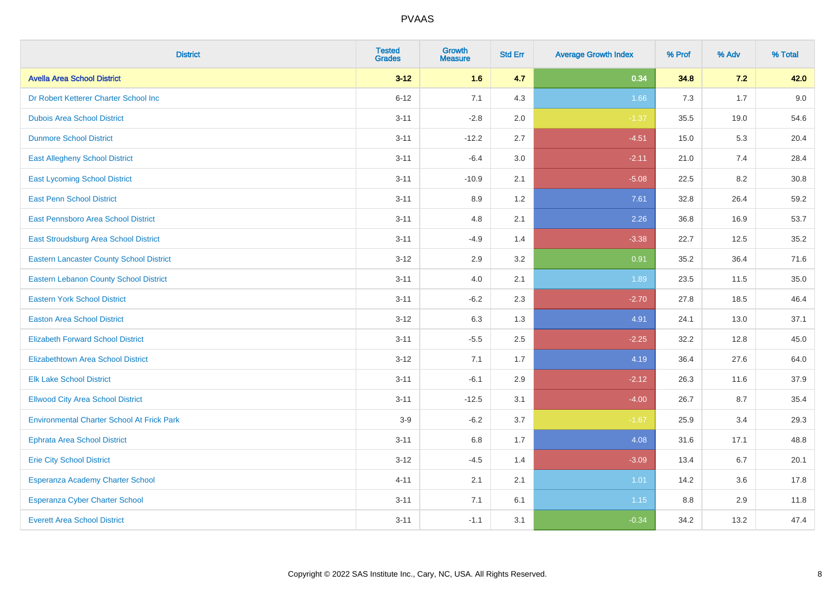| <b>District</b>                                   | <b>Tested</b><br><b>Grades</b> | Growth<br><b>Measure</b> | <b>Std Err</b> | <b>Average Growth Index</b> | % Prof | % Adv | % Total |
|---------------------------------------------------|--------------------------------|--------------------------|----------------|-----------------------------|--------|-------|---------|
| <b>Avella Area School District</b>                | $3 - 12$                       | 1.6                      | 4.7            | 0.34                        | 34.8   | 7.2   | 42.0    |
| Dr Robert Ketterer Charter School Inc             | $6 - 12$                       | 7.1                      | 4.3            | 1.66                        | 7.3    | 1.7   | 9.0     |
| <b>Dubois Area School District</b>                | $3 - 11$                       | $-2.8$                   | 2.0            | $-1.37$                     | 35.5   | 19.0  | 54.6    |
| <b>Dunmore School District</b>                    | $3 - 11$                       | $-12.2$                  | 2.7            | $-4.51$                     | 15.0   | 5.3   | 20.4    |
| <b>East Allegheny School District</b>             | $3 - 11$                       | $-6.4$                   | 3.0            | $-2.11$                     | 21.0   | 7.4   | 28.4    |
| <b>East Lycoming School District</b>              | $3 - 11$                       | $-10.9$                  | 2.1            | $-5.08$                     | 22.5   | 8.2   | 30.8    |
| <b>East Penn School District</b>                  | $3 - 11$                       | 8.9                      | 1.2            | 7.61                        | 32.8   | 26.4  | 59.2    |
| East Pennsboro Area School District               | $3 - 11$                       | 4.8                      | 2.1            | 2.26                        | 36.8   | 16.9  | 53.7    |
| East Stroudsburg Area School District             | $3 - 11$                       | $-4.9$                   | 1.4            | $-3.38$                     | 22.7   | 12.5  | 35.2    |
| <b>Eastern Lancaster County School District</b>   | $3 - 12$                       | 2.9                      | 3.2            | 0.91                        | 35.2   | 36.4  | 71.6    |
| Eastern Lebanon County School District            | $3 - 11$                       | 4.0                      | 2.1            | 1.89                        | 23.5   | 11.5  | 35.0    |
| <b>Eastern York School District</b>               | $3 - 11$                       | $-6.2$                   | 2.3            | $-2.70$                     | 27.8   | 18.5  | 46.4    |
| <b>Easton Area School District</b>                | $3 - 12$                       | 6.3                      | 1.3            | 4.91                        | 24.1   | 13.0  | 37.1    |
| <b>Elizabeth Forward School District</b>          | $3 - 11$                       | $-5.5$                   | 2.5            | $-2.25$                     | 32.2   | 12.8  | 45.0    |
| <b>Elizabethtown Area School District</b>         | $3 - 12$                       | 7.1                      | 1.7            | 4.19                        | 36.4   | 27.6  | 64.0    |
| <b>Elk Lake School District</b>                   | $3 - 11$                       | $-6.1$                   | 2.9            | $-2.12$                     | 26.3   | 11.6  | 37.9    |
| <b>Ellwood City Area School District</b>          | $3 - 11$                       | $-12.5$                  | 3.1            | $-4.00$                     | 26.7   | 8.7   | 35.4    |
| <b>Environmental Charter School At Frick Park</b> | $3-9$                          | $-6.2$                   | 3.7            | $-1.67$                     | 25.9   | 3.4   | 29.3    |
| <b>Ephrata Area School District</b>               | $3 - 11$                       | $6.8\,$                  | 1.7            | 4.08                        | 31.6   | 17.1  | 48.8    |
| <b>Erie City School District</b>                  | $3 - 12$                       | $-4.5$                   | 1.4            | $-3.09$                     | 13.4   | 6.7   | 20.1    |
| Esperanza Academy Charter School                  | $4 - 11$                       | 2.1                      | 2.1            | 1.01                        | 14.2   | 3.6   | 17.8    |
| <b>Esperanza Cyber Charter School</b>             | $3 - 11$                       | 7.1                      | 6.1            | 1.15                        | 8.8    | 2.9   | 11.8    |
| <b>Everett Area School District</b>               | $3 - 11$                       | $-1.1$                   | 3.1            | $-0.34$                     | 34.2   | 13.2  | 47.4    |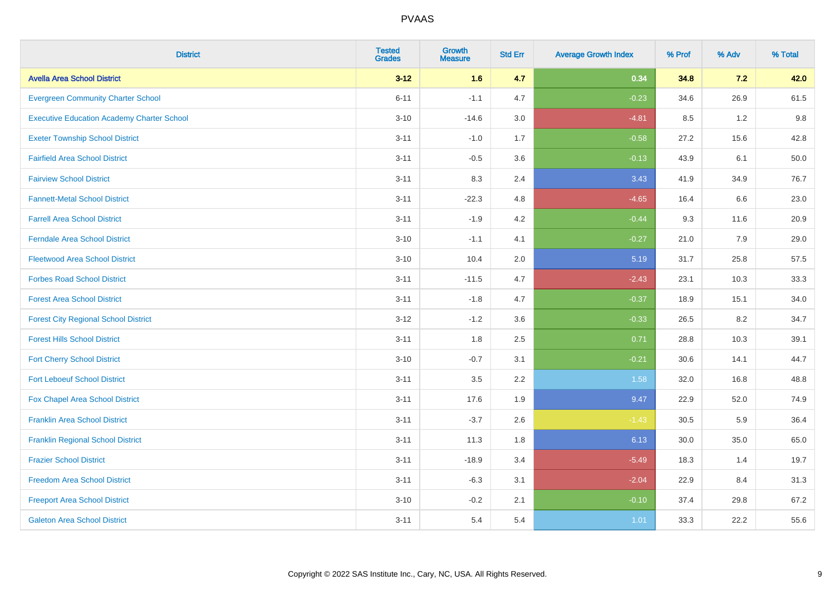| <b>District</b>                                   | <b>Tested</b><br><b>Grades</b> | Growth<br><b>Measure</b> | <b>Std Err</b> | <b>Average Growth Index</b> | % Prof | % Adv   | % Total |
|---------------------------------------------------|--------------------------------|--------------------------|----------------|-----------------------------|--------|---------|---------|
| <b>Avella Area School District</b>                | $3 - 12$                       | 1.6                      | 4.7            | 0.34                        | 34.8   | 7.2     | 42.0    |
| <b>Evergreen Community Charter School</b>         | $6 - 11$                       | $-1.1$                   | 4.7            | $-0.23$                     | 34.6   | 26.9    | 61.5    |
| <b>Executive Education Academy Charter School</b> | $3 - 10$                       | $-14.6$                  | 3.0            | $-4.81$                     | 8.5    | 1.2     | 9.8     |
| <b>Exeter Township School District</b>            | $3 - 11$                       | $-1.0$                   | 1.7            | $-0.58$                     | 27.2   | 15.6    | 42.8    |
| <b>Fairfield Area School District</b>             | $3 - 11$                       | $-0.5$                   | 3.6            | $-0.13$                     | 43.9   | 6.1     | 50.0    |
| <b>Fairview School District</b>                   | $3 - 11$                       | 8.3                      | 2.4            | 3.43                        | 41.9   | 34.9    | 76.7    |
| <b>Fannett-Metal School District</b>              | $3 - 11$                       | $-22.3$                  | 4.8            | $-4.65$                     | 16.4   | 6.6     | 23.0    |
| <b>Farrell Area School District</b>               | $3 - 11$                       | $-1.9$                   | 4.2            | $-0.44$                     | 9.3    | 11.6    | 20.9    |
| <b>Ferndale Area School District</b>              | $3 - 10$                       | $-1.1$                   | 4.1            | $-0.27$                     | 21.0   | 7.9     | 29.0    |
| <b>Fleetwood Area School District</b>             | $3 - 10$                       | 10.4                     | 2.0            | 5.19                        | 31.7   | 25.8    | 57.5    |
| <b>Forbes Road School District</b>                | $3 - 11$                       | $-11.5$                  | 4.7            | $-2.43$                     | 23.1   | 10.3    | 33.3    |
| <b>Forest Area School District</b>                | $3 - 11$                       | $-1.8$                   | 4.7            | $-0.37$                     | 18.9   | 15.1    | 34.0    |
| <b>Forest City Regional School District</b>       | $3 - 12$                       | $-1.2$                   | 3.6            | $-0.33$                     | 26.5   | $8.2\,$ | 34.7    |
| <b>Forest Hills School District</b>               | $3 - 11$                       | 1.8                      | 2.5            | 0.71                        | 28.8   | 10.3    | 39.1    |
| <b>Fort Cherry School District</b>                | $3 - 10$                       | $-0.7$                   | 3.1            | $-0.21$                     | 30.6   | 14.1    | 44.7    |
| <b>Fort Leboeuf School District</b>               | $3 - 11$                       | 3.5                      | 2.2            | 1.58                        | 32.0   | 16.8    | 48.8    |
| Fox Chapel Area School District                   | $3 - 11$                       | 17.6                     | 1.9            | 9.47                        | 22.9   | 52.0    | 74.9    |
| <b>Franklin Area School District</b>              | $3 - 11$                       | $-3.7$                   | 2.6            | $-1.43$                     | 30.5   | 5.9     | 36.4    |
| <b>Franklin Regional School District</b>          | $3 - 11$                       | 11.3                     | 1.8            | 6.13                        | 30.0   | 35.0    | 65.0    |
| <b>Frazier School District</b>                    | $3 - 11$                       | $-18.9$                  | 3.4            | $-5.49$                     | 18.3   | 1.4     | 19.7    |
| <b>Freedom Area School District</b>               | $3 - 11$                       | $-6.3$                   | 3.1            | $-2.04$                     | 22.9   | 8.4     | 31.3    |
| <b>Freeport Area School District</b>              | $3 - 10$                       | $-0.2$                   | 2.1            | $-0.10$                     | 37.4   | 29.8    | 67.2    |
| <b>Galeton Area School District</b>               | $3 - 11$                       | 5.4                      | 5.4            | 1.01                        | 33.3   | 22.2    | 55.6    |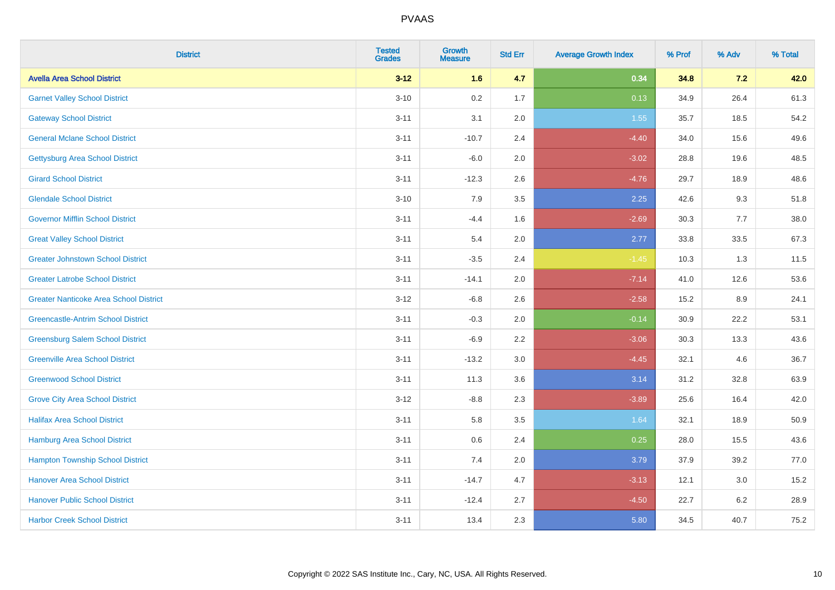| <b>District</b>                               | <b>Tested</b><br><b>Grades</b> | <b>Growth</b><br><b>Measure</b> | <b>Std Err</b> | <b>Average Growth Index</b> | % Prof | % Adv   | % Total |
|-----------------------------------------------|--------------------------------|---------------------------------|----------------|-----------------------------|--------|---------|---------|
| <b>Avella Area School District</b>            | $3 - 12$                       | 1.6                             | 4.7            | 0.34                        | 34.8   | 7.2     | 42.0    |
| <b>Garnet Valley School District</b>          | $3 - 10$                       | 0.2                             | 1.7            | 0.13                        | 34.9   | 26.4    | 61.3    |
| <b>Gateway School District</b>                | $3 - 11$                       | 3.1                             | 2.0            | 1.55                        | 35.7   | 18.5    | 54.2    |
| <b>General Mclane School District</b>         | $3 - 11$                       | $-10.7$                         | 2.4            | $-4.40$                     | 34.0   | 15.6    | 49.6    |
| <b>Gettysburg Area School District</b>        | $3 - 11$                       | $-6.0$                          | 2.0            | $-3.02$                     | 28.8   | 19.6    | 48.5    |
| <b>Girard School District</b>                 | $3 - 11$                       | $-12.3$                         | 2.6            | $-4.76$                     | 29.7   | 18.9    | 48.6    |
| <b>Glendale School District</b>               | $3 - 10$                       | 7.9                             | 3.5            | 2.25                        | 42.6   | 9.3     | 51.8    |
| <b>Governor Mifflin School District</b>       | $3 - 11$                       | $-4.4$                          | 1.6            | $-2.69$                     | 30.3   | $7.7$   | 38.0    |
| <b>Great Valley School District</b>           | $3 - 11$                       | 5.4                             | 2.0            | 2.77                        | 33.8   | 33.5    | 67.3    |
| <b>Greater Johnstown School District</b>      | $3 - 11$                       | $-3.5$                          | 2.4            | $-1.45$                     | 10.3   | 1.3     | 11.5    |
| <b>Greater Latrobe School District</b>        | $3 - 11$                       | $-14.1$                         | 2.0            | $-7.14$                     | 41.0   | 12.6    | 53.6    |
| <b>Greater Nanticoke Area School District</b> | $3-12$                         | $-6.8$                          | 2.6            | $-2.58$                     | 15.2   | 8.9     | 24.1    |
| <b>Greencastle-Antrim School District</b>     | $3 - 11$                       | $-0.3$                          | 2.0            | $-0.14$                     | 30.9   | 22.2    | 53.1    |
| <b>Greensburg Salem School District</b>       | $3 - 11$                       | $-6.9$                          | 2.2            | $-3.06$                     | 30.3   | 13.3    | 43.6    |
| <b>Greenville Area School District</b>        | $3 - 11$                       | $-13.2$                         | $3.0\,$        | $-4.45$                     | 32.1   | 4.6     | 36.7    |
| <b>Greenwood School District</b>              | $3 - 11$                       | 11.3                            | 3.6            | 3.14                        | 31.2   | 32.8    | 63.9    |
| <b>Grove City Area School District</b>        | $3 - 12$                       | $-8.8$                          | 2.3            | $-3.89$                     | 25.6   | 16.4    | 42.0    |
| <b>Halifax Area School District</b>           | $3 - 11$                       | 5.8                             | 3.5            | 1.64                        | 32.1   | 18.9    | 50.9    |
| <b>Hamburg Area School District</b>           | $3 - 11$                       | 0.6                             | 2.4            | 0.25                        | 28.0   | 15.5    | 43.6    |
| <b>Hampton Township School District</b>       | $3 - 11$                       | 7.4                             | 2.0            | 3.79                        | 37.9   | 39.2    | 77.0    |
| <b>Hanover Area School District</b>           | $3 - 11$                       | $-14.7$                         | 4.7            | $-3.13$                     | 12.1   | 3.0     | 15.2    |
| <b>Hanover Public School District</b>         | $3 - 11$                       | $-12.4$                         | 2.7            | $-4.50$                     | 22.7   | $6.2\,$ | 28.9    |
| <b>Harbor Creek School District</b>           | $3 - 11$                       | 13.4                            | 2.3            | 5.80                        | 34.5   | 40.7    | 75.2    |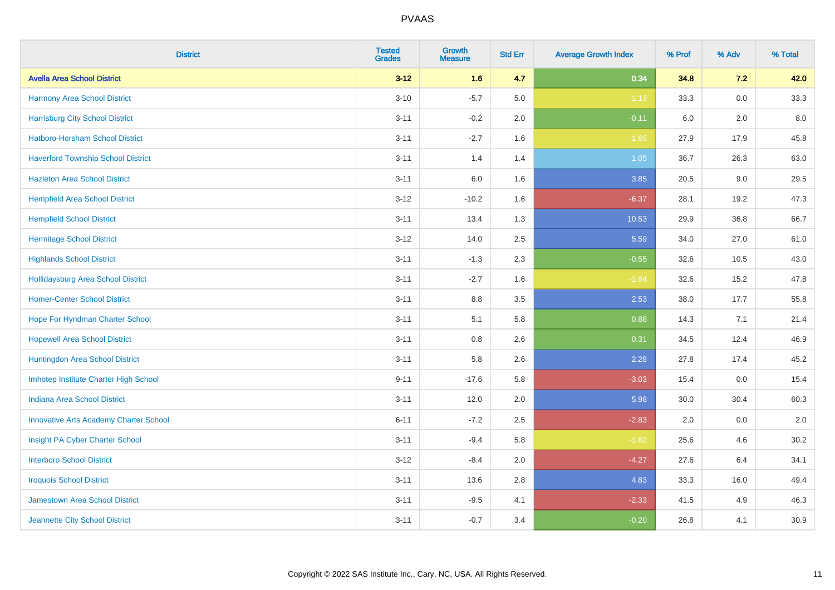| <b>District</b>                               | <b>Tested</b><br><b>Grades</b> | <b>Growth</b><br><b>Measure</b> | <b>Std Err</b> | <b>Average Growth Index</b> | % Prof | % Adv   | % Total |
|-----------------------------------------------|--------------------------------|---------------------------------|----------------|-----------------------------|--------|---------|---------|
| <b>Avella Area School District</b>            | $3 - 12$                       | 1.6                             | 4.7            | 0.34                        | 34.8   | 7.2     | 42.0    |
| Harmony Area School District                  | $3 - 10$                       | $-5.7$                          | 5.0            | $-1.13$                     | 33.3   | $0.0\,$ | 33.3    |
| <b>Harrisburg City School District</b>        | $3 - 11$                       | $-0.2$                          | 2.0            | $-0.11$                     | 6.0    | 2.0     | 8.0     |
| Hatboro-Horsham School District               | $3 - 11$                       | $-2.7$                          | 1.6            | $-1.65$                     | 27.9   | 17.9    | 45.8    |
| <b>Haverford Township School District</b>     | $3 - 11$                       | 1.4                             | 1.4            | 1.05                        | 36.7   | 26.3    | 63.0    |
| <b>Hazleton Area School District</b>          | $3 - 11$                       | 6.0                             | 1.6            | 3.85                        | 20.5   | 9.0     | 29.5    |
| <b>Hempfield Area School District</b>         | $3 - 12$                       | $-10.2$                         | 1.6            | $-6.37$                     | 28.1   | 19.2    | 47.3    |
| <b>Hempfield School District</b>              | $3 - 11$                       | 13.4                            | 1.3            | 10.53                       | 29.9   | 36.8    | 66.7    |
| <b>Hermitage School District</b>              | $3 - 12$                       | 14.0                            | 2.5            | 5.59                        | 34.0   | 27.0    | 61.0    |
| <b>Highlands School District</b>              | $3 - 11$                       | $-1.3$                          | 2.3            | $-0.55$                     | 32.6   | 10.5    | 43.0    |
| <b>Hollidaysburg Area School District</b>     | $3 - 11$                       | $-2.7$                          | 1.6            | $-1.64$                     | 32.6   | 15.2    | 47.8    |
| <b>Homer-Center School District</b>           | $3 - 11$                       | 8.8                             | 3.5            | 2.53                        | 38.0   | 17.7    | 55.8    |
| Hope For Hyndman Charter School               | $3 - 11$                       | 5.1                             | 5.8            | 0.88                        | 14.3   | 7.1     | 21.4    |
| <b>Hopewell Area School District</b>          | $3 - 11$                       | 0.8                             | 2.6            | 0.31                        | 34.5   | 12.4    | 46.9    |
| Huntingdon Area School District               | $3 - 11$                       | 5.8                             | 2.6            | 2.28                        | 27.8   | 17.4    | 45.2    |
| Imhotep Institute Charter High School         | $9 - 11$                       | $-17.6$                         | 5.8            | $-3.03$                     | 15.4   | $0.0\,$ | 15.4    |
| <b>Indiana Area School District</b>           | $3 - 11$                       | 12.0                            | 2.0            | 5.98                        | 30.0   | 30.4    | 60.3    |
| <b>Innovative Arts Academy Charter School</b> | $6 - 11$                       | $-7.2$                          | 2.5            | $-2.83$                     | 2.0    | 0.0     | 2.0     |
| Insight PA Cyber Charter School               | $3 - 11$                       | $-9.4$                          | 5.8            | $-1.62$                     | 25.6   | 4.6     | 30.2    |
| <b>Interboro School District</b>              | $3 - 12$                       | $-8.4$                          | 2.0            | $-4.27$                     | 27.6   | 6.4     | 34.1    |
| <b>Iroquois School District</b>               | $3 - 11$                       | 13.6                            | 2.8            | 4.83                        | 33.3   | 16.0    | 49.4    |
| Jamestown Area School District                | $3 - 11$                       | $-9.5$                          | 4.1            | $-2.33$                     | 41.5   | 4.9     | 46.3    |
| Jeannette City School District                | $3 - 11$                       | $-0.7$                          | 3.4            | $-0.20$                     | 26.8   | 4.1     | 30.9    |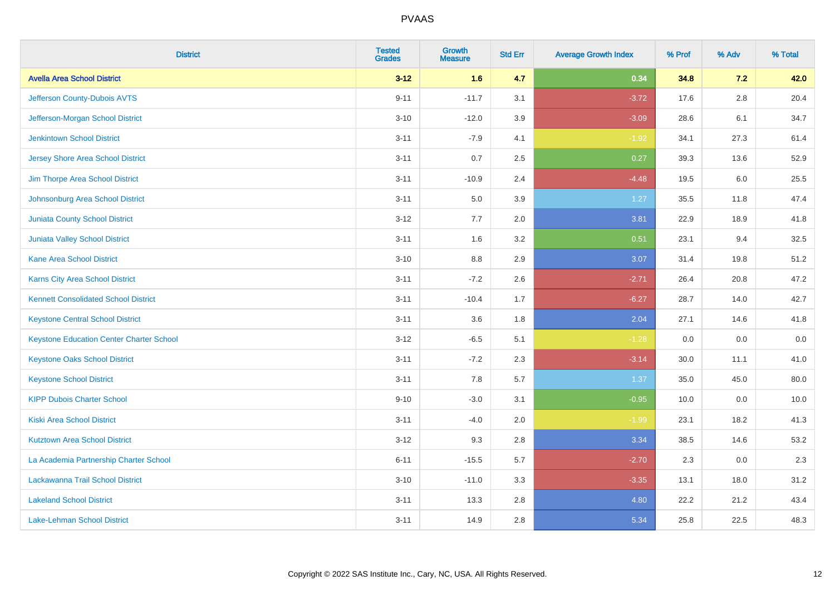| <b>District</b>                                 | <b>Tested</b><br><b>Grades</b> | <b>Growth</b><br><b>Measure</b> | <b>Std Err</b> | <b>Average Growth Index</b> | % Prof | % Adv   | % Total |
|-------------------------------------------------|--------------------------------|---------------------------------|----------------|-----------------------------|--------|---------|---------|
| <b>Avella Area School District</b>              | $3 - 12$                       | 1.6                             | 4.7            | 0.34                        | 34.8   | 7.2     | 42.0    |
| Jefferson County-Dubois AVTS                    | $9 - 11$                       | $-11.7$                         | 3.1            | $-3.72$                     | 17.6   | $2.8\,$ | 20.4    |
| Jefferson-Morgan School District                | $3 - 10$                       | $-12.0$                         | 3.9            | $-3.09$                     | 28.6   | 6.1     | 34.7    |
| <b>Jenkintown School District</b>               | $3 - 11$                       | $-7.9$                          | 4.1            | $-1.92$                     | 34.1   | 27.3    | 61.4    |
| <b>Jersey Shore Area School District</b>        | $3 - 11$                       | 0.7                             | 2.5            | 0.27                        | 39.3   | 13.6    | 52.9    |
| Jim Thorpe Area School District                 | $3 - 11$                       | $-10.9$                         | 2.4            | $-4.48$                     | 19.5   | 6.0     | 25.5    |
| Johnsonburg Area School District                | $3 - 11$                       | 5.0                             | 3.9            | 1.27                        | 35.5   | 11.8    | 47.4    |
| <b>Juniata County School District</b>           | $3 - 12$                       | 7.7                             | 2.0            | 3.81                        | 22.9   | 18.9    | 41.8    |
| Juniata Valley School District                  | $3 - 11$                       | 1.6                             | 3.2            | 0.51                        | 23.1   | 9.4     | 32.5    |
| <b>Kane Area School District</b>                | $3 - 10$                       | 8.8                             | 2.9            | 3.07                        | 31.4   | 19.8    | 51.2    |
| Karns City Area School District                 | $3 - 11$                       | $-7.2$                          | 2.6            | $-2.71$                     | 26.4   | 20.8    | 47.2    |
| <b>Kennett Consolidated School District</b>     | $3 - 11$                       | $-10.4$                         | 1.7            | $-6.27$                     | 28.7   | 14.0    | 42.7    |
| <b>Keystone Central School District</b>         | $3 - 11$                       | 3.6                             | 1.8            | 2.04                        | 27.1   | 14.6    | 41.8    |
| <b>Keystone Education Center Charter School</b> | $3 - 12$                       | $-6.5$                          | 5.1            | $-1.28$                     | 0.0    | 0.0     | $0.0\,$ |
| <b>Keystone Oaks School District</b>            | $3 - 11$                       | $-7.2$                          | 2.3            | $-3.14$                     | 30.0   | 11.1    | 41.0    |
| <b>Keystone School District</b>                 | $3 - 11$                       | 7.8                             | 5.7            | 1.37                        | 35.0   | 45.0    | 80.0    |
| <b>KIPP Dubois Charter School</b>               | $9 - 10$                       | $-3.0$                          | 3.1            | $-0.95$                     | 10.0   | 0.0     | 10.0    |
| <b>Kiski Area School District</b>               | $3 - 11$                       | $-4.0$                          | 2.0            | $-1.99$                     | 23.1   | 18.2    | 41.3    |
| <b>Kutztown Area School District</b>            | $3 - 12$                       | 9.3                             | 2.8            | 3.34                        | 38.5   | 14.6    | 53.2    |
| La Academia Partnership Charter School          | $6 - 11$                       | $-15.5$                         | 5.7            | $-2.70$                     | 2.3    | 0.0     | 2.3     |
| Lackawanna Trail School District                | $3 - 10$                       | $-11.0$                         | 3.3            | $-3.35$                     | 13.1   | 18.0    | 31.2    |
| <b>Lakeland School District</b>                 | $3 - 11$                       | 13.3                            | 2.8            | 4.80                        | 22.2   | 21.2    | 43.4    |
| <b>Lake-Lehman School District</b>              | $3 - 11$                       | 14.9                            | 2.8            | 5.34                        | 25.8   | 22.5    | 48.3    |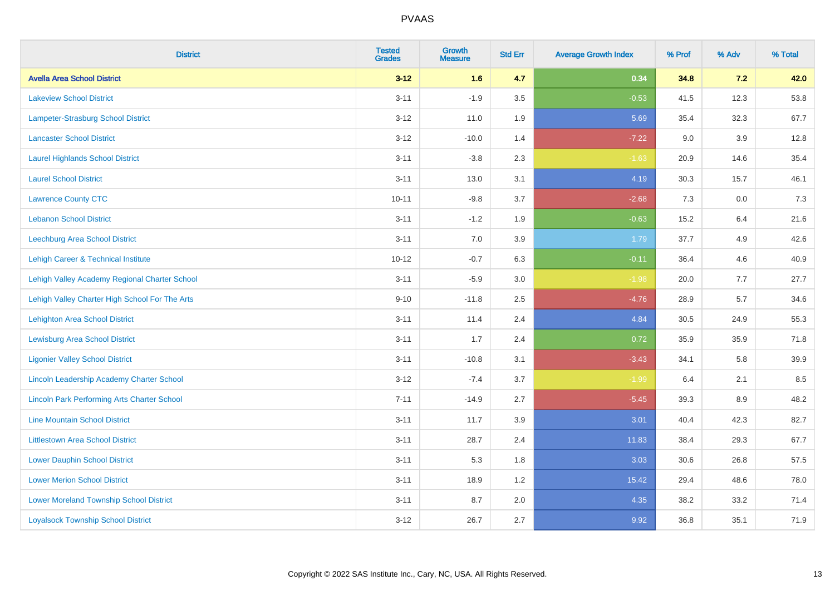| <b>District</b>                                    | <b>Tested</b><br><b>Grades</b> | <b>Growth</b><br><b>Measure</b> | <b>Std Err</b> | <b>Average Growth Index</b> | % Prof | % Adv | % Total |
|----------------------------------------------------|--------------------------------|---------------------------------|----------------|-----------------------------|--------|-------|---------|
| <b>Avella Area School District</b>                 | $3 - 12$                       | 1.6                             | 4.7            | 0.34                        | 34.8   | 7.2   | 42.0    |
| <b>Lakeview School District</b>                    | $3 - 11$                       | $-1.9$                          | 3.5            | $-0.53$                     | 41.5   | 12.3  | 53.8    |
| Lampeter-Strasburg School District                 | $3 - 12$                       | 11.0                            | 1.9            | 5.69                        | 35.4   | 32.3  | 67.7    |
| <b>Lancaster School District</b>                   | $3 - 12$                       | $-10.0$                         | 1.4            | $-7.22$                     | 9.0    | 3.9   | 12.8    |
| <b>Laurel Highlands School District</b>            | $3 - 11$                       | $-3.8$                          | 2.3            | $-1.63$                     | 20.9   | 14.6  | 35.4    |
| <b>Laurel School District</b>                      | $3 - 11$                       | 13.0                            | 3.1            | 4.19                        | 30.3   | 15.7  | 46.1    |
| <b>Lawrence County CTC</b>                         | $10 - 11$                      | $-9.8$                          | 3.7            | $-2.68$                     | 7.3    | 0.0   | 7.3     |
| <b>Lebanon School District</b>                     | $3 - 11$                       | $-1.2$                          | 1.9            | $-0.63$                     | 15.2   | 6.4   | 21.6    |
| Leechburg Area School District                     | $3 - 11$                       | 7.0                             | 3.9            | 1.79                        | 37.7   | 4.9   | 42.6    |
| <b>Lehigh Career &amp; Technical Institute</b>     | $10 - 12$                      | $-0.7$                          | 6.3            | $-0.11$                     | 36.4   | 4.6   | 40.9    |
| Lehigh Valley Academy Regional Charter School      | $3 - 11$                       | $-5.9$                          | 3.0            | $-1.98$                     | 20.0   | 7.7   | 27.7    |
| Lehigh Valley Charter High School For The Arts     | $9 - 10$                       | $-11.8$                         | 2.5            | $-4.76$                     | 28.9   | 5.7   | 34.6    |
| <b>Lehighton Area School District</b>              | $3 - 11$                       | 11.4                            | 2.4            | 4.84                        | 30.5   | 24.9  | 55.3    |
| <b>Lewisburg Area School District</b>              | $3 - 11$                       | 1.7                             | 2.4            | 0.72                        | 35.9   | 35.9  | 71.8    |
| <b>Ligonier Valley School District</b>             | $3 - 11$                       | $-10.8$                         | 3.1            | $-3.43$                     | 34.1   | 5.8   | 39.9    |
| Lincoln Leadership Academy Charter School          | $3 - 12$                       | $-7.4$                          | 3.7            | $-1.99$                     | 6.4    | 2.1   | 8.5     |
| <b>Lincoln Park Performing Arts Charter School</b> | $7 - 11$                       | $-14.9$                         | 2.7            | $-5.45$                     | 39.3   | 8.9   | 48.2    |
| <b>Line Mountain School District</b>               | $3 - 11$                       | 11.7                            | 3.9            | 3.01                        | 40.4   | 42.3  | 82.7    |
| <b>Littlestown Area School District</b>            | $3 - 11$                       | 28.7                            | 2.4            | 11.83                       | 38.4   | 29.3  | 67.7    |
| <b>Lower Dauphin School District</b>               | $3 - 11$                       | 5.3                             | 1.8            | 3.03                        | 30.6   | 26.8  | 57.5    |
| <b>Lower Merion School District</b>                | $3 - 11$                       | 18.9                            | 1.2            | 15.42                       | 29.4   | 48.6  | 78.0    |
| <b>Lower Moreland Township School District</b>     | $3 - 11$                       | 8.7                             | 2.0            | 4.35                        | 38.2   | 33.2  | 71.4    |
| <b>Loyalsock Township School District</b>          | $3 - 12$                       | 26.7                            | 2.7            | 9.92                        | 36.8   | 35.1  | 71.9    |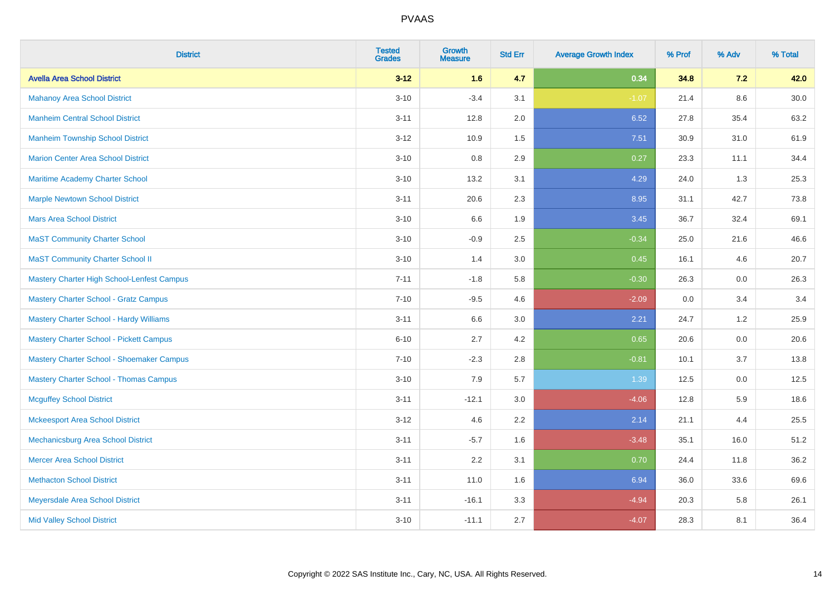| <b>District</b>                                | <b>Tested</b><br><b>Grades</b> | Growth<br><b>Measure</b> | <b>Std Err</b> | <b>Average Growth Index</b> | % Prof | % Adv   | % Total |
|------------------------------------------------|--------------------------------|--------------------------|----------------|-----------------------------|--------|---------|---------|
| <b>Avella Area School District</b>             | $3 - 12$                       | 1.6                      | 4.7            | 0.34                        | 34.8   | 7.2     | 42.0    |
| <b>Mahanoy Area School District</b>            | $3 - 10$                       | $-3.4$                   | 3.1            | $-1.07$                     | 21.4   | $8.6\,$ | 30.0    |
| <b>Manheim Central School District</b>         | $3 - 11$                       | 12.8                     | 2.0            | 6.52                        | 27.8   | 35.4    | 63.2    |
| <b>Manheim Township School District</b>        | $3 - 12$                       | 10.9                     | 1.5            | 7.51                        | 30.9   | 31.0    | 61.9    |
| <b>Marion Center Area School District</b>      | $3 - 10$                       | 0.8                      | 2.9            | 0.27                        | 23.3   | 11.1    | 34.4    |
| Maritime Academy Charter School                | $3 - 10$                       | 13.2                     | 3.1            | 4.29                        | 24.0   | 1.3     | 25.3    |
| <b>Marple Newtown School District</b>          | $3 - 11$                       | 20.6                     | 2.3            | 8.95                        | 31.1   | 42.7    | 73.8    |
| <b>Mars Area School District</b>               | $3 - 10$                       | 6.6                      | 1.9            | 3.45                        | 36.7   | 32.4    | 69.1    |
| <b>MaST Community Charter School</b>           | $3 - 10$                       | $-0.9$                   | 2.5            | $-0.34$                     | 25.0   | 21.6    | 46.6    |
| <b>MaST Community Charter School II</b>        | $3 - 10$                       | 1.4                      | 3.0            | 0.45                        | 16.1   | 4.6     | 20.7    |
| Mastery Charter High School-Lenfest Campus     | $7 - 11$                       | $-1.8$                   | 5.8            | $-0.30$                     | 26.3   | 0.0     | 26.3    |
| <b>Mastery Charter School - Gratz Campus</b>   | $7 - 10$                       | $-9.5$                   | 4.6            | $-2.09$                     | 0.0    | 3.4     | 3.4     |
| <b>Mastery Charter School - Hardy Williams</b> | $3 - 11$                       | 6.6                      | 3.0            | 2.21                        | 24.7   | 1.2     | 25.9    |
| <b>Mastery Charter School - Pickett Campus</b> | $6 - 10$                       | 2.7                      | 4.2            | 0.65                        | 20.6   | 0.0     | 20.6    |
| Mastery Charter School - Shoemaker Campus      | $7 - 10$                       | $-2.3$                   | 2.8            | $-0.81$                     | 10.1   | 3.7     | 13.8    |
| <b>Mastery Charter School - Thomas Campus</b>  | $3 - 10$                       | 7.9                      | 5.7            | 1.39                        | 12.5   | 0.0     | 12.5    |
| <b>Mcguffey School District</b>                | $3 - 11$                       | $-12.1$                  | 3.0            | $-4.06$                     | 12.8   | 5.9     | 18.6    |
| <b>Mckeesport Area School District</b>         | $3 - 12$                       | 4.6                      | 2.2            | 2.14                        | 21.1   | 4.4     | 25.5    |
| Mechanicsburg Area School District             | $3 - 11$                       | $-5.7$                   | 1.6            | $-3.48$                     | 35.1   | 16.0    | 51.2    |
| <b>Mercer Area School District</b>             | $3 - 11$                       | 2.2                      | 3.1            | 0.70                        | 24.4   | 11.8    | 36.2    |
| <b>Methacton School District</b>               | $3 - 11$                       | 11.0                     | 1.6            | 6.94                        | 36.0   | 33.6    | 69.6    |
| Meyersdale Area School District                | $3 - 11$                       | $-16.1$                  | 3.3            | $-4.94$                     | 20.3   | 5.8     | 26.1    |
| <b>Mid Valley School District</b>              | $3 - 10$                       | $-11.1$                  | 2.7            | $-4.07$                     | 28.3   | 8.1     | 36.4    |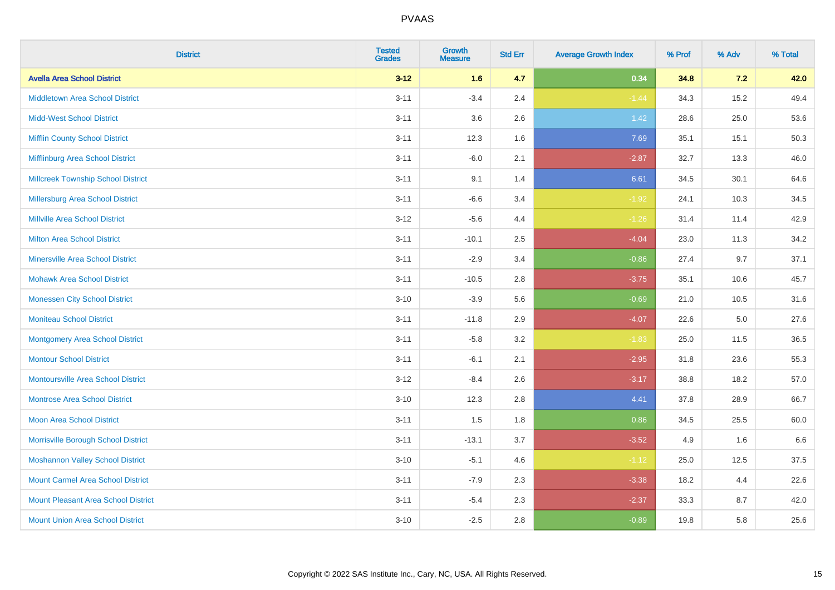| <b>District</b>                            | <b>Tested</b><br><b>Grades</b> | <b>Growth</b><br><b>Measure</b> | <b>Std Err</b> | <b>Average Growth Index</b> | % Prof | % Adv   | % Total |
|--------------------------------------------|--------------------------------|---------------------------------|----------------|-----------------------------|--------|---------|---------|
| <b>Avella Area School District</b>         | $3 - 12$                       | 1.6                             | 4.7            | 0.34                        | 34.8   | 7.2     | 42.0    |
| <b>Middletown Area School District</b>     | $3 - 11$                       | $-3.4$                          | 2.4            | $-1.44$                     | 34.3   | 15.2    | 49.4    |
| <b>Midd-West School District</b>           | $3 - 11$                       | 3.6                             | 2.6            | 1.42                        | 28.6   | 25.0    | 53.6    |
| <b>Mifflin County School District</b>      | $3 - 11$                       | 12.3                            | 1.6            | 7.69                        | 35.1   | 15.1    | 50.3    |
| Mifflinburg Area School District           | $3 - 11$                       | $-6.0$                          | 2.1            | $-2.87$                     | 32.7   | 13.3    | 46.0    |
| <b>Millcreek Township School District</b>  | $3 - 11$                       | 9.1                             | 1.4            | 6.61                        | 34.5   | 30.1    | 64.6    |
| Millersburg Area School District           | $3 - 11$                       | $-6.6$                          | 3.4            | $-1.92$                     | 24.1   | 10.3    | 34.5    |
| <b>Millville Area School District</b>      | $3 - 12$                       | $-5.6$                          | 4.4            | $-1.26$                     | 31.4   | 11.4    | 42.9    |
| <b>Milton Area School District</b>         | $3 - 11$                       | $-10.1$                         | 2.5            | $-4.04$                     | 23.0   | 11.3    | 34.2    |
| <b>Minersville Area School District</b>    | $3 - 11$                       | $-2.9$                          | 3.4            | $-0.86$                     | 27.4   | 9.7     | 37.1    |
| <b>Mohawk Area School District</b>         | $3 - 11$                       | $-10.5$                         | 2.8            | $-3.75$                     | 35.1   | 10.6    | 45.7    |
| <b>Monessen City School District</b>       | $3 - 10$                       | $-3.9$                          | 5.6            | $-0.69$                     | 21.0   | 10.5    | 31.6    |
| <b>Moniteau School District</b>            | $3 - 11$                       | $-11.8$                         | 2.9            | $-4.07$                     | 22.6   | $5.0\,$ | 27.6    |
| <b>Montgomery Area School District</b>     | $3 - 11$                       | $-5.8$                          | 3.2            | $-1.83$                     | 25.0   | 11.5    | 36.5    |
| <b>Montour School District</b>             | $3 - 11$                       | $-6.1$                          | 2.1            | $-2.95$                     | 31.8   | 23.6    | 55.3    |
| <b>Montoursville Area School District</b>  | $3 - 12$                       | $-8.4$                          | 2.6            | $-3.17$                     | 38.8   | 18.2    | 57.0    |
| <b>Montrose Area School District</b>       | $3 - 10$                       | 12.3                            | 2.8            | 4.41                        | 37.8   | 28.9    | 66.7    |
| <b>Moon Area School District</b>           | $3 - 11$                       | 1.5                             | 1.8            | 0.86                        | 34.5   | 25.5    | 60.0    |
| Morrisville Borough School District        | $3 - 11$                       | $-13.1$                         | 3.7            | $-3.52$                     | 4.9    | 1.6     | 6.6     |
| <b>Moshannon Valley School District</b>    | $3 - 10$                       | $-5.1$                          | 4.6            | $-1.12$                     | 25.0   | 12.5    | 37.5    |
| <b>Mount Carmel Area School District</b>   | $3 - 11$                       | $-7.9$                          | 2.3            | $-3.38$                     | 18.2   | 4.4     | 22.6    |
| <b>Mount Pleasant Area School District</b> | $3 - 11$                       | $-5.4$                          | 2.3            | $-2.37$                     | 33.3   | 8.7     | 42.0    |
| <b>Mount Union Area School District</b>    | $3 - 10$                       | $-2.5$                          | 2.8            | $-0.89$                     | 19.8   | 5.8     | 25.6    |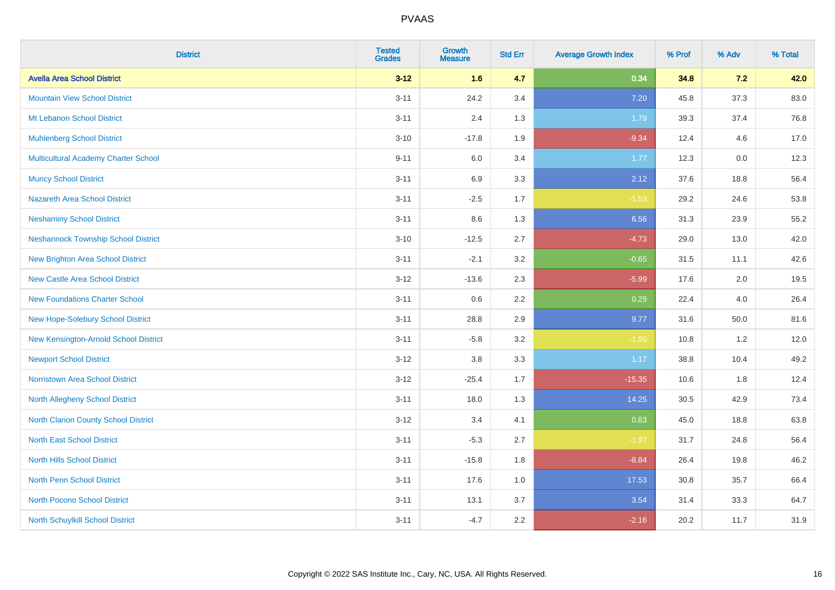| <b>District</b>                            | <b>Tested</b><br><b>Grades</b> | <b>Growth</b><br><b>Measure</b> | <b>Std Err</b> | <b>Average Growth Index</b> | % Prof | % Adv    | % Total |
|--------------------------------------------|--------------------------------|---------------------------------|----------------|-----------------------------|--------|----------|---------|
| <b>Avella Area School District</b>         | $3 - 12$                       | 1.6                             | 4.7            | 0.34                        | 34.8   | $7.2$    | 42.0    |
| <b>Mountain View School District</b>       | $3 - 11$                       | 24.2                            | 3.4            | 7.20                        | 45.8   | 37.3     | 83.0    |
| Mt Lebanon School District                 | $3 - 11$                       | 2.4                             | 1.3            | 1.79                        | 39.3   | 37.4     | 76.8    |
| <b>Muhlenberg School District</b>          | $3 - 10$                       | $-17.8$                         | 1.9            | $-9.34$                     | 12.4   | 4.6      | 17.0    |
| Multicultural Academy Charter School       | $9 - 11$                       | 6.0                             | 3.4            | 1.77                        | 12.3   | 0.0      | 12.3    |
| <b>Muncy School District</b>               | $3 - 11$                       | 6.9                             | 3.3            | 2.12                        | 37.6   | 18.8     | 56.4    |
| <b>Nazareth Area School District</b>       | $3 - 11$                       | $-2.5$                          | 1.7            | $-1.53$                     | 29.2   | 24.6     | 53.8    |
| <b>Neshaminy School District</b>           | $3 - 11$                       | 8.6                             | 1.3            | 6.56                        | 31.3   | 23.9     | 55.2    |
| <b>Neshannock Township School District</b> | $3 - 10$                       | $-12.5$                         | 2.7            | $-4.73$                     | 29.0   | 13.0     | 42.0    |
| <b>New Brighton Area School District</b>   | $3 - 11$                       | $-2.1$                          | 3.2            | $-0.65$                     | 31.5   | 11.1     | 42.6    |
| <b>New Castle Area School District</b>     | $3 - 12$                       | $-13.6$                         | 2.3            | $-5.99$                     | 17.6   | 2.0      | 19.5    |
| <b>New Foundations Charter School</b>      | $3 - 11$                       | 0.6                             | 2.2            | 0.29                        | 22.4   | 4.0      | 26.4    |
| New Hope-Solebury School District          | $3 - 11$                       | 28.8                            | 2.9            | 9.77                        | 31.6   | $50.0\,$ | 81.6    |
| New Kensington-Arnold School District      | $3 - 11$                       | $-5.8$                          | 3.2            | $-1.80$                     | 10.8   | 1.2      | 12.0    |
| <b>Newport School District</b>             | $3-12$                         | $3.8\,$                         | 3.3            | 1.17                        | 38.8   | 10.4     | 49.2    |
| <b>Norristown Area School District</b>     | $3 - 12$                       | $-25.4$                         | 1.7            | $-15.35$                    | 10.6   | 1.8      | 12.4    |
| North Allegheny School District            | $3 - 11$                       | 18.0                            | 1.3            | 14.25                       | 30.5   | 42.9     | 73.4    |
| North Clarion County School District       | $3-12$                         | 3.4                             | 4.1            | 0.83                        | 45.0   | 18.8     | 63.8    |
| <b>North East School District</b>          | $3 - 11$                       | $-5.3$                          | 2.7            | $-1.97$                     | 31.7   | 24.8     | 56.4    |
| <b>North Hills School District</b>         | $3 - 11$                       | $-15.8$                         | 1.8            | $-8.84$                     | 26.4   | 19.8     | 46.2    |
| <b>North Penn School District</b>          | $3 - 11$                       | 17.6                            | 1.0            | 17.53                       | 30.8   | 35.7     | 66.4    |
| <b>North Pocono School District</b>        | $3 - 11$                       | 13.1                            | 3.7            | 3.54                        | 31.4   | 33.3     | 64.7    |
| North Schuylkill School District           | $3 - 11$                       | $-4.7$                          | 2.2            | $-2.16$                     | 20.2   | 11.7     | 31.9    |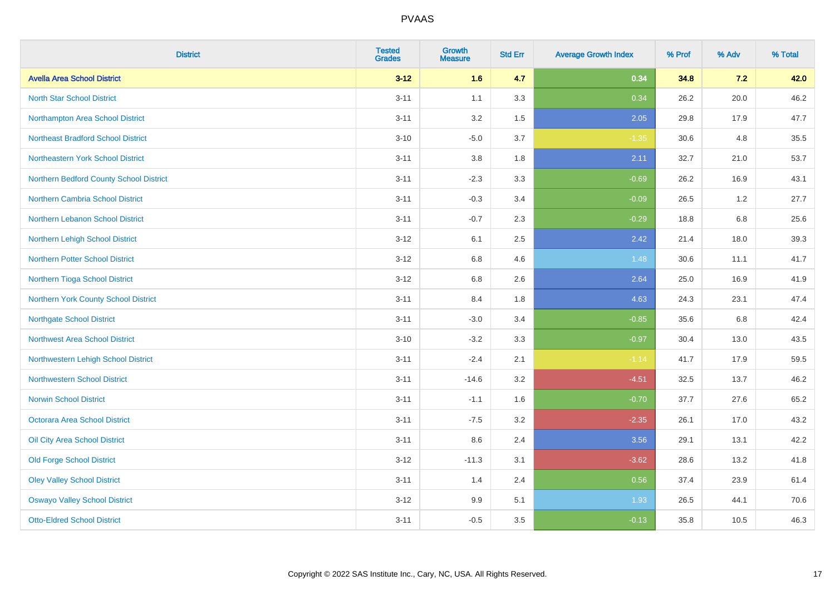| <b>District</b>                           | <b>Tested</b><br><b>Grades</b> | <b>Growth</b><br><b>Measure</b> | <b>Std Err</b> | <b>Average Growth Index</b> | % Prof | % Adv   | % Total |
|-------------------------------------------|--------------------------------|---------------------------------|----------------|-----------------------------|--------|---------|---------|
| <b>Avella Area School District</b>        | $3 - 12$                       | 1.6                             | 4.7            | 0.34                        | 34.8   | 7.2     | 42.0    |
| <b>North Star School District</b>         | $3 - 11$                       | 1.1                             | 3.3            | 0.34                        | 26.2   | 20.0    | 46.2    |
| Northampton Area School District          | $3 - 11$                       | 3.2                             | 1.5            | 2.05                        | 29.8   | 17.9    | 47.7    |
| <b>Northeast Bradford School District</b> | $3 - 10$                       | $-5.0$                          | 3.7            | $-1.35$                     | 30.6   | 4.8     | 35.5    |
| Northeastern York School District         | $3 - 11$                       | 3.8                             | 1.8            | 2.11                        | 32.7   | 21.0    | 53.7    |
| Northern Bedford County School District   | $3 - 11$                       | $-2.3$                          | 3.3            | $-0.69$                     | 26.2   | 16.9    | 43.1    |
| Northern Cambria School District          | $3 - 11$                       | $-0.3$                          | 3.4            | $-0.09$                     | 26.5   | 1.2     | 27.7    |
| Northern Lebanon School District          | $3 - 11$                       | $-0.7$                          | 2.3            | $-0.29$                     | 18.8   | 6.8     | 25.6    |
| Northern Lehigh School District           | $3 - 12$                       | 6.1                             | 2.5            | 2.42                        | 21.4   | 18.0    | 39.3    |
| Northern Potter School District           | $3-12$                         | 6.8                             | 4.6            | 1.48                        | 30.6   | 11.1    | 41.7    |
| Northern Tioga School District            | $3-12$                         | 6.8                             | 2.6            | 2.64                        | 25.0   | 16.9    | 41.9    |
| Northern York County School District      | $3 - 11$                       | 8.4                             | 1.8            | 4.63                        | 24.3   | 23.1    | 47.4    |
| <b>Northgate School District</b>          | $3 - 11$                       | $-3.0$                          | 3.4            | $-0.85$                     | 35.6   | $6.8\,$ | 42.4    |
| Northwest Area School District            | $3 - 10$                       | $-3.2$                          | 3.3            | $-0.97$                     | 30.4   | 13.0    | 43.5    |
| Northwestern Lehigh School District       | $3 - 11$                       | $-2.4$                          | 2.1            | $-1.14$                     | 41.7   | 17.9    | 59.5    |
| <b>Northwestern School District</b>       | $3 - 11$                       | $-14.6$                         | 3.2            | $-4.51$                     | 32.5   | 13.7    | 46.2    |
| <b>Norwin School District</b>             | $3 - 11$                       | $-1.1$                          | 1.6            | $-0.70$                     | 37.7   | 27.6    | 65.2    |
| <b>Octorara Area School District</b>      | $3 - 11$                       | $-7.5$                          | 3.2            | $-2.35$                     | 26.1   | 17.0    | 43.2    |
| Oil City Area School District             | $3 - 11$                       | 8.6                             | 2.4            | 3.56                        | 29.1   | 13.1    | 42.2    |
| <b>Old Forge School District</b>          | $3 - 12$                       | $-11.3$                         | 3.1            | $-3.62$                     | 28.6   | 13.2    | 41.8    |
| <b>Oley Valley School District</b>        | $3 - 11$                       | 1.4                             | 2.4            | 0.56                        | 37.4   | 23.9    | 61.4    |
| <b>Oswayo Valley School District</b>      | $3 - 12$                       | 9.9                             | 5.1            | 1.93                        | 26.5   | 44.1    | 70.6    |
| <b>Otto-Eldred School District</b>        | $3 - 11$                       | $-0.5$                          | 3.5            | $-0.13$                     | 35.8   | 10.5    | 46.3    |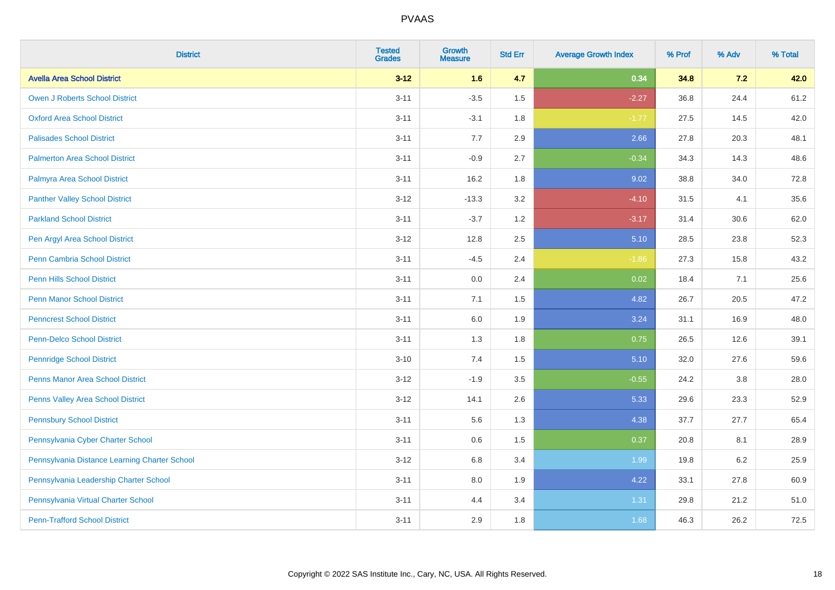| <b>District</b>                               | <b>Tested</b><br><b>Grades</b> | <b>Growth</b><br><b>Measure</b> | <b>Std Err</b> | <b>Average Growth Index</b> | % Prof | % Adv   | % Total |
|-----------------------------------------------|--------------------------------|---------------------------------|----------------|-----------------------------|--------|---------|---------|
| <b>Avella Area School District</b>            | $3 - 12$                       | 1.6                             | 4.7            | 0.34                        | 34.8   | 7.2     | 42.0    |
| <b>Owen J Roberts School District</b>         | $3 - 11$                       | $-3.5$                          | 1.5            | $-2.27$                     | 36.8   | 24.4    | 61.2    |
| <b>Oxford Area School District</b>            | $3 - 11$                       | $-3.1$                          | 1.8            | $-1.77$                     | 27.5   | 14.5    | 42.0    |
| <b>Palisades School District</b>              | $3 - 11$                       | 7.7                             | 2.9            | 2.66                        | 27.8   | 20.3    | 48.1    |
| <b>Palmerton Area School District</b>         | $3 - 11$                       | $-0.9$                          | 2.7            | $-0.34$                     | 34.3   | 14.3    | 48.6    |
| Palmyra Area School District                  | $3 - 11$                       | 16.2                            | 1.8            | 9.02                        | 38.8   | 34.0    | 72.8    |
| <b>Panther Valley School District</b>         | $3 - 12$                       | $-13.3$                         | 3.2            | $-4.10$                     | 31.5   | 4.1     | 35.6    |
| <b>Parkland School District</b>               | $3 - 11$                       | $-3.7$                          | 1.2            | $-3.17$                     | 31.4   | 30.6    | 62.0    |
| Pen Argyl Area School District                | $3 - 12$                       | 12.8                            | 2.5            | 5.10                        | 28.5   | 23.8    | 52.3    |
| Penn Cambria School District                  | $3 - 11$                       | $-4.5$                          | 2.4            | $-1.86$                     | 27.3   | 15.8    | 43.2    |
| <b>Penn Hills School District</b>             | $3 - 11$                       | 0.0                             | 2.4            | 0.02                        | 18.4   | 7.1     | 25.6    |
| <b>Penn Manor School District</b>             | $3 - 11$                       | 7.1                             | 1.5            | 4.82                        | 26.7   | 20.5    | 47.2    |
| <b>Penncrest School District</b>              | $3 - 11$                       | 6.0                             | 1.9            | 3.24                        | 31.1   | 16.9    | 48.0    |
| <b>Penn-Delco School District</b>             | $3 - 11$                       | 1.3                             | 1.8            | 0.75                        | 26.5   | 12.6    | 39.1    |
| <b>Pennridge School District</b>              | $3 - 10$                       | 7.4                             | 1.5            | 5.10                        | 32.0   | 27.6    | 59.6    |
| <b>Penns Manor Area School District</b>       | $3 - 12$                       | $-1.9$                          | $3.5\,$        | $-0.55$                     | 24.2   | $3.8\,$ | 28.0    |
| Penns Valley Area School District             | $3 - 12$                       | 14.1                            | 2.6            | 5.33                        | 29.6   | 23.3    | 52.9    |
| <b>Pennsbury School District</b>              | $3 - 11$                       | 5.6                             | 1.3            | 4.38                        | 37.7   | 27.7    | 65.4    |
| Pennsylvania Cyber Charter School             | $3 - 11$                       | 0.6                             | 1.5            | 0.37                        | 20.8   | 8.1     | 28.9    |
| Pennsylvania Distance Learning Charter School | $3 - 12$                       | 6.8                             | 3.4            | 1.99                        | 19.8   | 6.2     | 25.9    |
| Pennsylvania Leadership Charter School        | $3 - 11$                       | 8.0                             | 1.9            | 4.22                        | 33.1   | 27.8    | 60.9    |
| Pennsylvania Virtual Charter School           | $3 - 11$                       | 4.4                             | 3.4            | 1.31                        | 29.8   | 21.2    | 51.0    |
| <b>Penn-Trafford School District</b>          | $3 - 11$                       | 2.9                             | 1.8            | 1.68                        | 46.3   | 26.2    | 72.5    |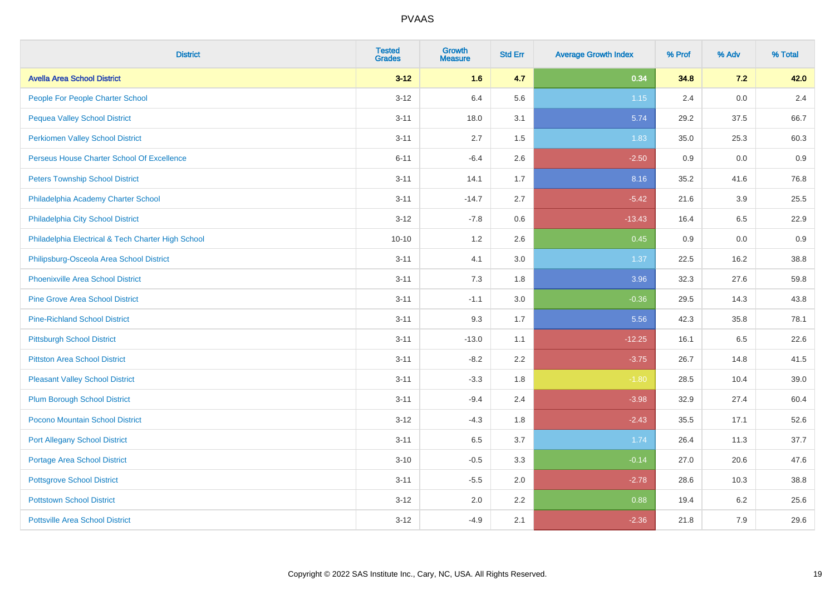| <b>District</b>                                    | <b>Tested</b><br><b>Grades</b> | <b>Growth</b><br><b>Measure</b> | <b>Std Err</b> | <b>Average Growth Index</b> | % Prof | % Adv | % Total |
|----------------------------------------------------|--------------------------------|---------------------------------|----------------|-----------------------------|--------|-------|---------|
| <b>Avella Area School District</b>                 | $3 - 12$                       | 1.6                             | 4.7            | 0.34                        | 34.8   | 7.2   | 42.0    |
| People For People Charter School                   | $3 - 12$                       | 6.4                             | 5.6            | $1.15$                      | 2.4    | 0.0   | 2.4     |
| <b>Pequea Valley School District</b>               | $3 - 11$                       | 18.0                            | 3.1            | 5.74                        | 29.2   | 37.5  | 66.7    |
| <b>Perkiomen Valley School District</b>            | $3 - 11$                       | 2.7                             | 1.5            | 1.83                        | 35.0   | 25.3  | 60.3    |
| Perseus House Charter School Of Excellence         | $6 - 11$                       | $-6.4$                          | 2.6            | $-2.50$                     | 0.9    | 0.0   | 0.9     |
| <b>Peters Township School District</b>             | $3 - 11$                       | 14.1                            | 1.7            | 8.16                        | 35.2   | 41.6  | 76.8    |
| Philadelphia Academy Charter School                | $3 - 11$                       | $-14.7$                         | 2.7            | $-5.42$                     | 21.6   | 3.9   | 25.5    |
| Philadelphia City School District                  | $3 - 12$                       | $-7.8$                          | 0.6            | $-13.43$                    | 16.4   | 6.5   | 22.9    |
| Philadelphia Electrical & Tech Charter High School | $10 - 10$                      | 1.2                             | 2.6            | 0.45                        | 0.9    | 0.0   | 0.9     |
| Philipsburg-Osceola Area School District           | $3 - 11$                       | 4.1                             | 3.0            | 1.37                        | 22.5   | 16.2  | 38.8    |
| <b>Phoenixville Area School District</b>           | $3 - 11$                       | 7.3                             | 1.8            | 3.96                        | 32.3   | 27.6  | 59.8    |
| <b>Pine Grove Area School District</b>             | $3 - 11$                       | $-1.1$                          | 3.0            | $-0.36$                     | 29.5   | 14.3  | 43.8    |
| <b>Pine-Richland School District</b>               | $3 - 11$                       | 9.3                             | 1.7            | 5.56                        | 42.3   | 35.8  | 78.1    |
| <b>Pittsburgh School District</b>                  | $3 - 11$                       | $-13.0$                         | 1.1            | $-12.25$                    | 16.1   | 6.5   | 22.6    |
| <b>Pittston Area School District</b>               | $3 - 11$                       | $-8.2$                          | 2.2            | $-3.75$                     | 26.7   | 14.8  | 41.5    |
| <b>Pleasant Valley School District</b>             | $3 - 11$                       | $-3.3$                          | 1.8            | $-1.80$                     | 28.5   | 10.4  | 39.0    |
| <b>Plum Borough School District</b>                | $3 - 11$                       | $-9.4$                          | 2.4            | $-3.98$                     | 32.9   | 27.4  | 60.4    |
| Pocono Mountain School District                    | $3 - 12$                       | $-4.3$                          | 1.8            | $-2.43$                     | 35.5   | 17.1  | 52.6    |
| <b>Port Allegany School District</b>               | $3 - 11$                       | 6.5                             | 3.7            | 1.74                        | 26.4   | 11.3  | 37.7    |
| <b>Portage Area School District</b>                | $3 - 10$                       | $-0.5$                          | 3.3            | $-0.14$                     | 27.0   | 20.6  | 47.6    |
| <b>Pottsgrove School District</b>                  | $3 - 11$                       | $-5.5$                          | 2.0            | $-2.78$                     | 28.6   | 10.3  | 38.8    |
| <b>Pottstown School District</b>                   | $3 - 12$                       | 2.0                             | 2.2            | 0.88                        | 19.4   | 6.2   | 25.6    |
| <b>Pottsville Area School District</b>             | $3 - 12$                       | $-4.9$                          | 2.1            | $-2.36$                     | 21.8   | 7.9   | 29.6    |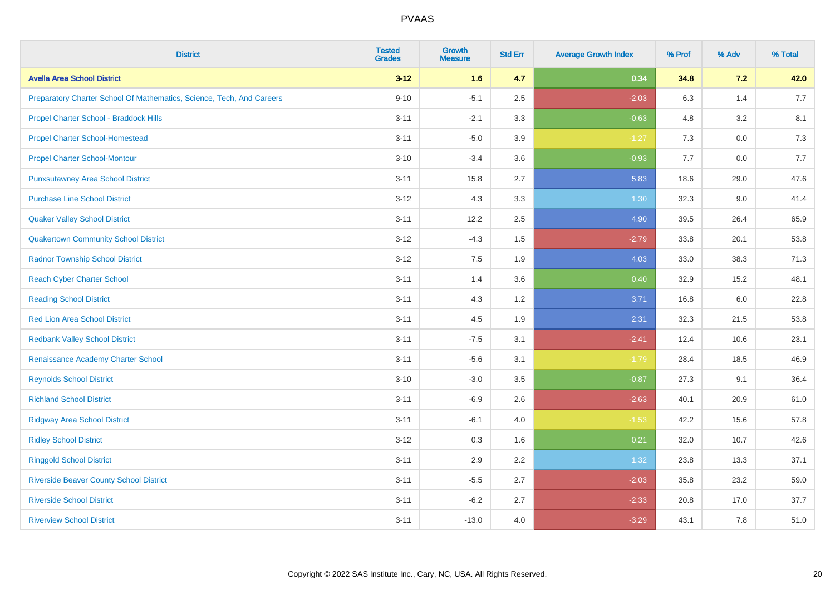| <b>District</b>                                                       | <b>Tested</b><br><b>Grades</b> | <b>Growth</b><br><b>Measure</b> | <b>Std Err</b> | <b>Average Growth Index</b> | % Prof | % Adv   | % Total |
|-----------------------------------------------------------------------|--------------------------------|---------------------------------|----------------|-----------------------------|--------|---------|---------|
| <b>Avella Area School District</b>                                    | $3 - 12$                       | 1.6                             | 4.7            | 0.34                        | 34.8   | 7.2     | 42.0    |
| Preparatory Charter School Of Mathematics, Science, Tech, And Careers | $9 - 10$                       | $-5.1$                          | 2.5            | $-2.03$                     | 6.3    | 1.4     | 7.7     |
| Propel Charter School - Braddock Hills                                | $3 - 11$                       | $-2.1$                          | 3.3            | $-0.63$                     | 4.8    | 3.2     | 8.1     |
| <b>Propel Charter School-Homestead</b>                                | $3 - 11$                       | $-5.0$                          | 3.9            | $-1.27$                     | 7.3    | $0.0\,$ | 7.3     |
| <b>Propel Charter School-Montour</b>                                  | $3 - 10$                       | $-3.4$                          | 3.6            | $-0.93$                     | 7.7    | 0.0     | 7.7     |
| <b>Punxsutawney Area School District</b>                              | $3 - 11$                       | 15.8                            | 2.7            | 5.83                        | 18.6   | 29.0    | 47.6    |
| <b>Purchase Line School District</b>                                  | $3 - 12$                       | 4.3                             | 3.3            | 1.30                        | 32.3   | 9.0     | 41.4    |
| <b>Quaker Valley School District</b>                                  | $3 - 11$                       | 12.2                            | 2.5            | 4.90                        | 39.5   | 26.4    | 65.9    |
| <b>Quakertown Community School District</b>                           | $3 - 12$                       | $-4.3$                          | 1.5            | $-2.79$                     | 33.8   | 20.1    | 53.8    |
| <b>Radnor Township School District</b>                                | $3 - 12$                       | 7.5                             | 1.9            | 4.03                        | 33.0   | 38.3    | 71.3    |
| <b>Reach Cyber Charter School</b>                                     | $3 - 11$                       | 1.4                             | 3.6            | 0.40                        | 32.9   | 15.2    | 48.1    |
| <b>Reading School District</b>                                        | $3 - 11$                       | 4.3                             | 1.2            | 3.71                        | 16.8   | 6.0     | 22.8    |
| Red Lion Area School District                                         | $3 - 11$                       | 4.5                             | 1.9            | 2.31                        | 32.3   | 21.5    | 53.8    |
| <b>Redbank Valley School District</b>                                 | $3 - 11$                       | $-7.5$                          | 3.1            | $-2.41$                     | 12.4   | 10.6    | 23.1    |
| Renaissance Academy Charter School                                    | $3 - 11$                       | $-5.6$                          | 3.1            | $-1.79$                     | 28.4   | 18.5    | 46.9    |
| <b>Reynolds School District</b>                                       | $3 - 10$                       | $-3.0$                          | 3.5            | $-0.87$                     | 27.3   | 9.1     | 36.4    |
| <b>Richland School District</b>                                       | $3 - 11$                       | $-6.9$                          | 2.6            | $-2.63$                     | 40.1   | 20.9    | 61.0    |
| <b>Ridgway Area School District</b>                                   | $3 - 11$                       | $-6.1$                          | 4.0            | $-1.53$                     | 42.2   | 15.6    | 57.8    |
| <b>Ridley School District</b>                                         | $3 - 12$                       | 0.3                             | 1.6            | 0.21                        | 32.0   | 10.7    | 42.6    |
| <b>Ringgold School District</b>                                       | $3 - 11$                       | 2.9                             | 2.2            | 1.32                        | 23.8   | 13.3    | 37.1    |
| <b>Riverside Beaver County School District</b>                        | $3 - 11$                       | $-5.5$                          | 2.7            | $-2.03$                     | 35.8   | 23.2    | 59.0    |
| <b>Riverside School District</b>                                      | $3 - 11$                       | $-6.2$                          | 2.7            | $-2.33$                     | 20.8   | 17.0    | 37.7    |
| <b>Riverview School District</b>                                      | $3 - 11$                       | $-13.0$                         | 4.0            | $-3.29$                     | 43.1   | 7.8     | 51.0    |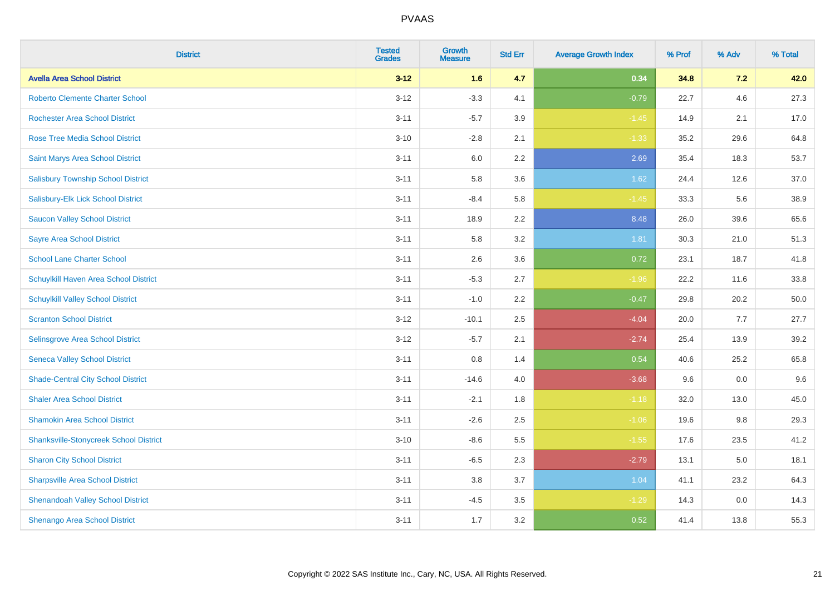| <b>District</b>                               | <b>Tested</b><br><b>Grades</b> | <b>Growth</b><br><b>Measure</b> | <b>Std Err</b> | <b>Average Growth Index</b> | % Prof | % Adv | % Total |
|-----------------------------------------------|--------------------------------|---------------------------------|----------------|-----------------------------|--------|-------|---------|
| <b>Avella Area School District</b>            | $3 - 12$                       | 1.6                             | 4.7            | 0.34                        | 34.8   | 7.2   | 42.0    |
| <b>Roberto Clemente Charter School</b>        | $3 - 12$                       | $-3.3$                          | 4.1            | $-0.79$                     | 22.7   | 4.6   | 27.3    |
| <b>Rochester Area School District</b>         | $3 - 11$                       | $-5.7$                          | 3.9            | $-1.45$                     | 14.9   | 2.1   | 17.0    |
| <b>Rose Tree Media School District</b>        | $3 - 10$                       | $-2.8$                          | 2.1            | $-1.33$                     | 35.2   | 29.6  | 64.8    |
| <b>Saint Marys Area School District</b>       | $3 - 11$                       | 6.0                             | 2.2            | 2.69                        | 35.4   | 18.3  | 53.7    |
| <b>Salisbury Township School District</b>     | $3 - 11$                       | 5.8                             | 3.6            | 1.62                        | 24.4   | 12.6  | 37.0    |
| Salisbury-Elk Lick School District            | $3 - 11$                       | $-8.4$                          | 5.8            | $-1.45$                     | 33.3   | 5.6   | 38.9    |
| <b>Saucon Valley School District</b>          | $3 - 11$                       | 18.9                            | 2.2            | 8.48                        | 26.0   | 39.6  | 65.6    |
| <b>Sayre Area School District</b>             | $3 - 11$                       | 5.8                             | 3.2            | 1.81                        | 30.3   | 21.0  | 51.3    |
| <b>School Lane Charter School</b>             | $3 - 11$                       | 2.6                             | 3.6            | 0.72                        | 23.1   | 18.7  | 41.8    |
| Schuylkill Haven Area School District         | $3 - 11$                       | $-5.3$                          | 2.7            | $-1.96$                     | 22.2   | 11.6  | 33.8    |
| <b>Schuylkill Valley School District</b>      | $3 - 11$                       | $-1.0$                          | 2.2            | $-0.47$                     | 29.8   | 20.2  | 50.0    |
| <b>Scranton School District</b>               | $3 - 12$                       | $-10.1$                         | 2.5            | $-4.04$                     | 20.0   | 7.7   | 27.7    |
| Selinsgrove Area School District              | $3 - 12$                       | $-5.7$                          | 2.1            | $-2.74$                     | 25.4   | 13.9  | 39.2    |
| <b>Seneca Valley School District</b>          | $3 - 11$                       | 0.8                             | 1.4            | 0.54                        | 40.6   | 25.2  | 65.8    |
| <b>Shade-Central City School District</b>     | $3 - 11$                       | $-14.6$                         | 4.0            | $-3.68$                     | 9.6    | 0.0   | 9.6     |
| <b>Shaler Area School District</b>            | $3 - 11$                       | $-2.1$                          | 1.8            | $-1.18$                     | 32.0   | 13.0  | 45.0    |
| <b>Shamokin Area School District</b>          | $3 - 11$                       | $-2.6$                          | 2.5            | $-1.06$                     | 19.6   | 9.8   | 29.3    |
| <b>Shanksville-Stonycreek School District</b> | $3 - 10$                       | $-8.6$                          | 5.5            | $-1.55$                     | 17.6   | 23.5  | 41.2    |
| <b>Sharon City School District</b>            | $3 - 11$                       | $-6.5$                          | 2.3            | $-2.79$                     | 13.1   | 5.0   | 18.1    |
| <b>Sharpsville Area School District</b>       | $3 - 11$                       | 3.8                             | 3.7            | 1.04                        | 41.1   | 23.2  | 64.3    |
| <b>Shenandoah Valley School District</b>      | $3 - 11$                       | $-4.5$                          | 3.5            | $-1.29$                     | 14.3   | 0.0   | 14.3    |
| Shenango Area School District                 | $3 - 11$                       | 1.7                             | 3.2            | 0.52                        | 41.4   | 13.8  | 55.3    |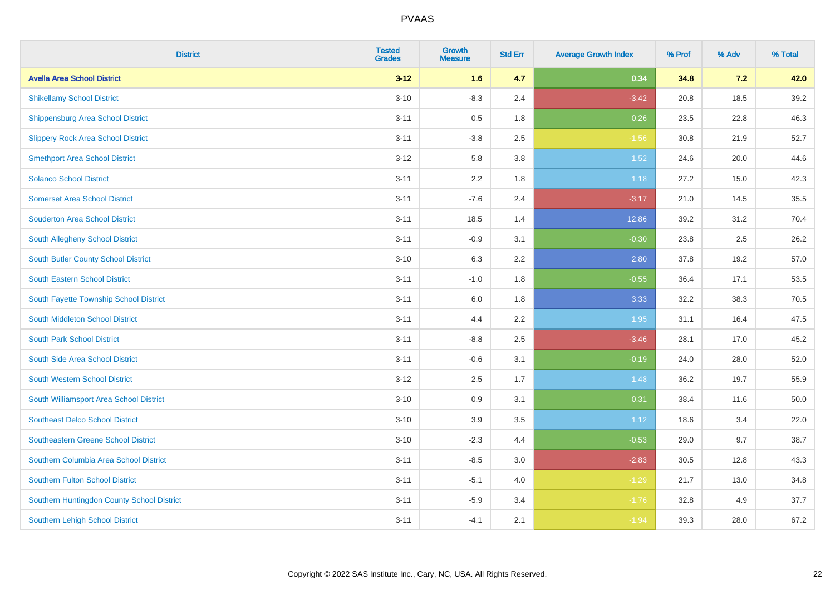| <b>District</b>                            | <b>Tested</b><br><b>Grades</b> | <b>Growth</b><br><b>Measure</b> | <b>Std Err</b> | <b>Average Growth Index</b> | % Prof | % Adv | % Total |
|--------------------------------------------|--------------------------------|---------------------------------|----------------|-----------------------------|--------|-------|---------|
| <b>Avella Area School District</b>         | $3 - 12$                       | 1.6                             | 4.7            | 0.34                        | 34.8   | 7.2   | 42.0    |
| <b>Shikellamy School District</b>          | $3 - 10$                       | $-8.3$                          | 2.4            | $-3.42$                     | 20.8   | 18.5  | 39.2    |
| <b>Shippensburg Area School District</b>   | $3 - 11$                       | 0.5                             | 1.8            | 0.26                        | 23.5   | 22.8  | 46.3    |
| <b>Slippery Rock Area School District</b>  | $3 - 11$                       | $-3.8$                          | 2.5            | $-1.56$                     | 30.8   | 21.9  | 52.7    |
| <b>Smethport Area School District</b>      | $3 - 12$                       | 5.8                             | 3.8            | $1.52$                      | 24.6   | 20.0  | 44.6    |
| <b>Solanco School District</b>             | $3 - 11$                       | 2.2                             | 1.8            | 1.18                        | 27.2   | 15.0  | 42.3    |
| <b>Somerset Area School District</b>       | $3 - 11$                       | $-7.6$                          | 2.4            | $-3.17$                     | 21.0   | 14.5  | 35.5    |
| <b>Souderton Area School District</b>      | $3 - 11$                       | 18.5                            | 1.4            | 12.86                       | 39.2   | 31.2  | 70.4    |
| South Allegheny School District            | $3 - 11$                       | $-0.9$                          | 3.1            | $-0.30$                     | 23.8   | 2.5   | 26.2    |
| South Butler County School District        | $3 - 10$                       | 6.3                             | 2.2            | 2.80                        | 37.8   | 19.2  | 57.0    |
| South Eastern School District              | $3 - 11$                       | $-1.0$                          | 1.8            | $-0.55$                     | 36.4   | 17.1  | 53.5    |
| South Fayette Township School District     | $3 - 11$                       | 6.0                             | 1.8            | 3.33                        | 32.2   | 38.3  | 70.5    |
| South Middleton School District            | $3 - 11$                       | 4.4                             | 2.2            | 1.95                        | 31.1   | 16.4  | 47.5    |
| <b>South Park School District</b>          | $3 - 11$                       | $-8.8$                          | 2.5            | $-3.46$                     | 28.1   | 17.0  | 45.2    |
| South Side Area School District            | $3 - 11$                       | $-0.6$                          | 3.1            | $-0.19$                     | 24.0   | 28.0  | 52.0    |
| <b>South Western School District</b>       | $3 - 12$                       | 2.5                             | 1.7            | 1.48                        | 36.2   | 19.7  | 55.9    |
| South Williamsport Area School District    | $3 - 10$                       | 0.9                             | 3.1            | 0.31                        | 38.4   | 11.6  | 50.0    |
| <b>Southeast Delco School District</b>     | $3 - 10$                       | 3.9                             | 3.5            | 1.12                        | 18.6   | 3.4   | 22.0    |
| <b>Southeastern Greene School District</b> | $3 - 10$                       | $-2.3$                          | 4.4            | $-0.53$                     | 29.0   | 9.7   | 38.7    |
| Southern Columbia Area School District     | $3 - 11$                       | $-8.5$                          | 3.0            | $-2.83$                     | 30.5   | 12.8  | 43.3    |
| <b>Southern Fulton School District</b>     | $3 - 11$                       | $-5.1$                          | 4.0            | $-1.29$                     | 21.7   | 13.0  | 34.8    |
| Southern Huntingdon County School District | $3 - 11$                       | $-5.9$                          | 3.4            | $-1.76$                     | 32.8   | 4.9   | 37.7    |
| <b>Southern Lehigh School District</b>     | $3 - 11$                       | $-4.1$                          | 2.1            | $-1.94$                     | 39.3   | 28.0  | 67.2    |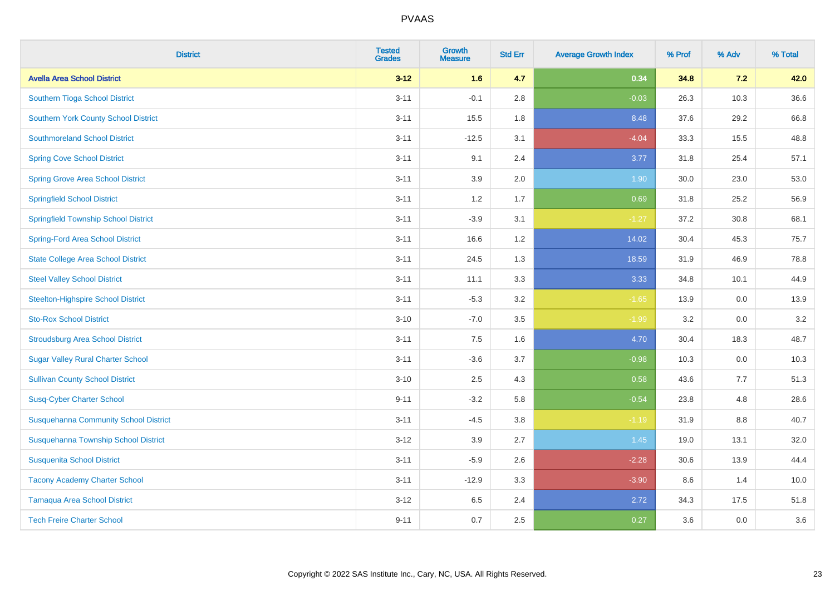| <b>District</b>                              | <b>Tested</b><br><b>Grades</b> | <b>Growth</b><br><b>Measure</b> | <b>Std Err</b> | <b>Average Growth Index</b> | % Prof | % Adv | % Total |
|----------------------------------------------|--------------------------------|---------------------------------|----------------|-----------------------------|--------|-------|---------|
| <b>Avella Area School District</b>           | $3 - 12$                       | 1.6                             | 4.7            | 0.34                        | 34.8   | 7.2   | 42.0    |
| Southern Tioga School District               | $3 - 11$                       | $-0.1$                          | 2.8            | $-0.03$                     | 26.3   | 10.3  | 36.6    |
| <b>Southern York County School District</b>  | $3 - 11$                       | 15.5                            | 1.8            | 8.48                        | 37.6   | 29.2  | 66.8    |
| <b>Southmoreland School District</b>         | $3 - 11$                       | $-12.5$                         | 3.1            | $-4.04$                     | 33.3   | 15.5  | 48.8    |
| <b>Spring Cove School District</b>           | $3 - 11$                       | 9.1                             | 2.4            | 3.77                        | 31.8   | 25.4  | 57.1    |
| <b>Spring Grove Area School District</b>     | $3 - 11$                       | 3.9                             | 2.0            | 1.90                        | 30.0   | 23.0  | 53.0    |
| <b>Springfield School District</b>           | $3 - 11$                       | 1.2                             | 1.7            | 0.69                        | 31.8   | 25.2  | 56.9    |
| <b>Springfield Township School District</b>  | $3 - 11$                       | $-3.9$                          | 3.1            | $-1.27$                     | 37.2   | 30.8  | 68.1    |
| <b>Spring-Ford Area School District</b>      | $3 - 11$                       | 16.6                            | 1.2            | 14.02                       | 30.4   | 45.3  | 75.7    |
| <b>State College Area School District</b>    | $3 - 11$                       | 24.5                            | 1.3            | 18.59                       | 31.9   | 46.9  | 78.8    |
| <b>Steel Valley School District</b>          | $3 - 11$                       | 11.1                            | 3.3            | 3.33                        | 34.8   | 10.1  | 44.9    |
| <b>Steelton-Highspire School District</b>    | $3 - 11$                       | $-5.3$                          | 3.2            | $-1.65$                     | 13.9   | 0.0   | 13.9    |
| <b>Sto-Rox School District</b>               | $3 - 10$                       | $-7.0$                          | 3.5            | $-1.99$                     | 3.2    | 0.0   | 3.2     |
| <b>Stroudsburg Area School District</b>      | $3 - 11$                       | $7.5\,$                         | 1.6            | 4.70                        | 30.4   | 18.3  | 48.7    |
| <b>Sugar Valley Rural Charter School</b>     | $3 - 11$                       | $-3.6$                          | 3.7            | $-0.98$                     | 10.3   | 0.0   | 10.3    |
| <b>Sullivan County School District</b>       | $3 - 10$                       | 2.5                             | 4.3            | 0.58                        | 43.6   | 7.7   | 51.3    |
| <b>Susq-Cyber Charter School</b>             | $9 - 11$                       | $-3.2$                          | 5.8            | $-0.54$                     | 23.8   | 4.8   | 28.6    |
| <b>Susquehanna Community School District</b> | $3 - 11$                       | $-4.5$                          | 3.8            | $-1.19$                     | 31.9   | 8.8   | 40.7    |
| Susquehanna Township School District         | $3 - 12$                       | 3.9                             | 2.7            | 1.45                        | 19.0   | 13.1  | 32.0    |
| <b>Susquenita School District</b>            | $3 - 11$                       | $-5.9$                          | 2.6            | $-2.28$                     | 30.6   | 13.9  | 44.4    |
| <b>Tacony Academy Charter School</b>         | $3 - 11$                       | $-12.9$                         | 3.3            | $-3.90$                     | 8.6    | 1.4   | 10.0    |
| <b>Tamaqua Area School District</b>          | $3 - 12$                       | 6.5                             | 2.4            | 2.72                        | 34.3   | 17.5  | 51.8    |
| <b>Tech Freire Charter School</b>            | $9 - 11$                       | 0.7                             | 2.5            | 0.27                        | 3.6    | 0.0   | 3.6     |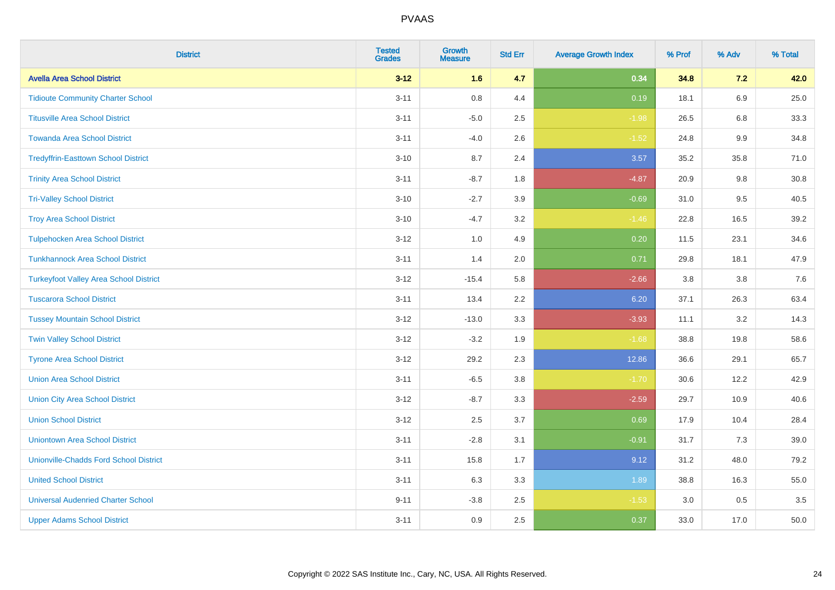| <b>District</b>                               | <b>Tested</b><br><b>Grades</b> | Growth<br><b>Measure</b> | <b>Std Err</b> | <b>Average Growth Index</b> | % Prof | % Adv   | % Total |
|-----------------------------------------------|--------------------------------|--------------------------|----------------|-----------------------------|--------|---------|---------|
| <b>Avella Area School District</b>            | $3 - 12$                       | 1.6                      | 4.7            | 0.34                        | 34.8   | 7.2     | 42.0    |
| <b>Tidioute Community Charter School</b>      | $3 - 11$                       | 0.8                      | 4.4            | 0.19                        | 18.1   | 6.9     | 25.0    |
| <b>Titusville Area School District</b>        | $3 - 11$                       | $-5.0$                   | 2.5            | $-1.98$                     | 26.5   | 6.8     | 33.3    |
| <b>Towanda Area School District</b>           | $3 - 11$                       | $-4.0$                   | 2.6            | $-1.52$                     | 24.8   | $9.9\,$ | 34.8    |
| <b>Tredyffrin-Easttown School District</b>    | $3 - 10$                       | 8.7                      | 2.4            | 3.57                        | 35.2   | 35.8    | 71.0    |
| <b>Trinity Area School District</b>           | $3 - 11$                       | $-8.7$                   | 1.8            | $-4.87$                     | 20.9   | 9.8     | 30.8    |
| <b>Tri-Valley School District</b>             | $3 - 10$                       | $-2.7$                   | 3.9            | $-0.69$                     | 31.0   | 9.5     | 40.5    |
| <b>Troy Area School District</b>              | $3 - 10$                       | $-4.7$                   | 3.2            | $-1.46$                     | 22.8   | 16.5    | 39.2    |
| <b>Tulpehocken Area School District</b>       | $3 - 12$                       | 1.0                      | 4.9            | 0.20                        | 11.5   | 23.1    | 34.6    |
| <b>Tunkhannock Area School District</b>       | $3 - 11$                       | 1.4                      | 2.0            | 0.71                        | 29.8   | 18.1    | 47.9    |
| <b>Turkeyfoot Valley Area School District</b> | $3 - 12$                       | $-15.4$                  | 5.8            | $-2.66$                     | 3.8    | 3.8     | 7.6     |
| <b>Tuscarora School District</b>              | $3 - 11$                       | 13.4                     | 2.2            | 6.20                        | 37.1   | 26.3    | 63.4    |
| <b>Tussey Mountain School District</b>        | $3 - 12$                       | $-13.0$                  | 3.3            | $-3.93$                     | 11.1   | $3.2\,$ | 14.3    |
| <b>Twin Valley School District</b>            | $3 - 12$                       | $-3.2$                   | 1.9            | $-1.68$                     | 38.8   | 19.8    | 58.6    |
| <b>Tyrone Area School District</b>            | $3 - 12$                       | 29.2                     | 2.3            | 12.86                       | 36.6   | 29.1    | 65.7    |
| <b>Union Area School District</b>             | $3 - 11$                       | $-6.5$                   | 3.8            | $-1.70$                     | 30.6   | 12.2    | 42.9    |
| <b>Union City Area School District</b>        | $3 - 12$                       | $-8.7$                   | 3.3            | $-2.59$                     | 29.7   | 10.9    | 40.6    |
| <b>Union School District</b>                  | $3 - 12$                       | 2.5                      | 3.7            | 0.69                        | 17.9   | 10.4    | 28.4    |
| <b>Uniontown Area School District</b>         | $3 - 11$                       | $-2.8$                   | 3.1            | $-0.91$                     | 31.7   | 7.3     | 39.0    |
| <b>Unionville-Chadds Ford School District</b> | $3 - 11$                       | 15.8                     | 1.7            | 9.12                        | 31.2   | 48.0    | 79.2    |
| <b>United School District</b>                 | $3 - 11$                       | 6.3                      | 3.3            | 1.89                        | 38.8   | 16.3    | 55.0    |
| <b>Universal Audenried Charter School</b>     | $9 - 11$                       | $-3.8$                   | 2.5            | $-1.53$                     | 3.0    | 0.5     | 3.5     |
| <b>Upper Adams School District</b>            | $3 - 11$                       | 0.9                      | 2.5            | 0.37                        | 33.0   | 17.0    | 50.0    |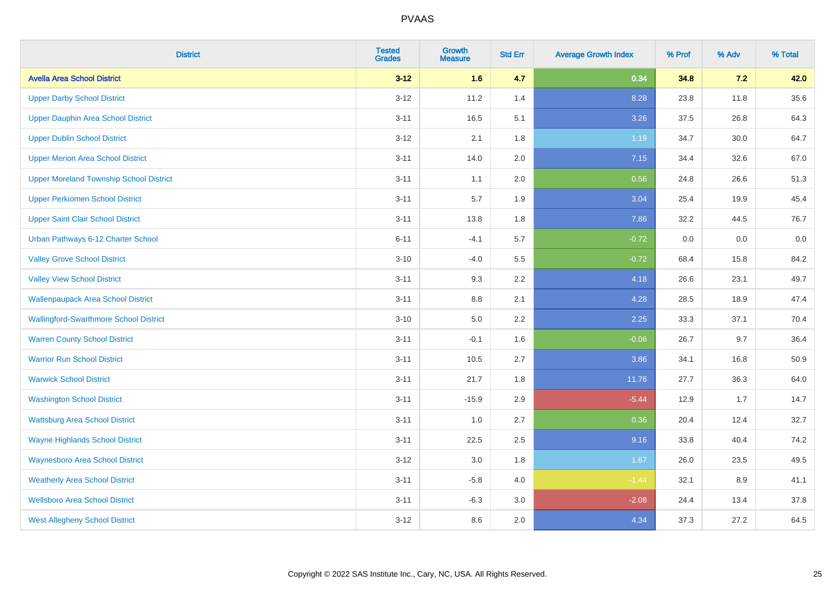| <b>District</b>                                | <b>Tested</b><br><b>Grades</b> | Growth<br><b>Measure</b> | <b>Std Err</b> | <b>Average Growth Index</b> | % Prof | % Adv | % Total |
|------------------------------------------------|--------------------------------|--------------------------|----------------|-----------------------------|--------|-------|---------|
| <b>Avella Area School District</b>             | $3 - 12$                       | 1.6                      | 4.7            | 0.34                        | 34.8   | 7.2   | 42.0    |
| <b>Upper Darby School District</b>             | $3 - 12$                       | 11.2                     | 1.4            | 8.28                        | 23.8   | 11.8  | 35.6    |
| Upper Dauphin Area School District             | $3 - 11$                       | 16.5                     | 5.1            | 3.26                        | 37.5   | 26.8  | 64.3    |
| <b>Upper Dublin School District</b>            | $3 - 12$                       | 2.1                      | 1.8            | 1.19                        | 34.7   | 30.0  | 64.7    |
| <b>Upper Merion Area School District</b>       | $3 - 11$                       | 14.0                     | 2.0            | 7.15                        | 34.4   | 32.6  | 67.0    |
| <b>Upper Moreland Township School District</b> | $3 - 11$                       | 1.1                      | 2.0            | 0.56                        | 24.8   | 26.6  | 51.3    |
| <b>Upper Perkiomen School District</b>         | $3 - 11$                       | 5.7                      | 1.9            | 3.04                        | 25.4   | 19.9  | 45.4    |
| <b>Upper Saint Clair School District</b>       | $3 - 11$                       | 13.8                     | 1.8            | 7.86                        | 32.2   | 44.5  | 76.7    |
| Urban Pathways 6-12 Charter School             | $6 - 11$                       | $-4.1$                   | 5.7            | $-0.72$                     | 0.0    | 0.0   | $0.0\,$ |
| <b>Valley Grove School District</b>            | $3 - 10$                       | $-4.0$                   | 5.5            | $-0.72$                     | 68.4   | 15.8  | 84.2    |
| <b>Valley View School District</b>             | $3 - 11$                       | 9.3                      | 2.2            | 4.18                        | 26.6   | 23.1  | 49.7    |
| <b>Wallenpaupack Area School District</b>      | $3 - 11$                       | 8.8                      | 2.1            | 4.28                        | 28.5   | 18.9  | 47.4    |
| <b>Wallingford-Swarthmore School District</b>  | $3 - 10$                       | 5.0                      | $2.2\,$        | 2.25                        | 33.3   | 37.1  | 70.4    |
| <b>Warren County School District</b>           | $3 - 11$                       | $-0.1$                   | 1.6            | $-0.06$                     | 26.7   | 9.7   | 36.4    |
| <b>Warrior Run School District</b>             | $3 - 11$                       | 10.5                     | 2.7            | 3.86                        | 34.1   | 16.8  | 50.9    |
| <b>Warwick School District</b>                 | $3 - 11$                       | 21.7                     | 1.8            | 11.76                       | 27.7   | 36.3  | 64.0    |
| <b>Washington School District</b>              | $3 - 11$                       | $-15.9$                  | 2.9            | $-5.44$                     | 12.9   | 1.7   | 14.7    |
| <b>Wattsburg Area School District</b>          | $3 - 11$                       | 1.0                      | 2.7            | 0.36                        | 20.4   | 12.4  | 32.7    |
| <b>Wayne Highlands School District</b>         | $3 - 11$                       | 22.5                     | 2.5            | 9.16                        | 33.8   | 40.4  | 74.2    |
| <b>Waynesboro Area School District</b>         | $3 - 12$                       | $3.0\,$                  | 1.8            | 1.67                        | 26.0   | 23.5  | 49.5    |
| <b>Weatherly Area School District</b>          | $3 - 11$                       | $-5.8$                   | 4.0            | $-1.44$                     | 32.1   | 8.9   | 41.1    |
| <b>Wellsboro Area School District</b>          | $3 - 11$                       | $-6.3$                   | 3.0            | $-2.08$                     | 24.4   | 13.4  | 37.8    |
| <b>West Allegheny School District</b>          | $3 - 12$                       | 8.6                      | 2.0            | 4.34                        | 37.3   | 27.2  | 64.5    |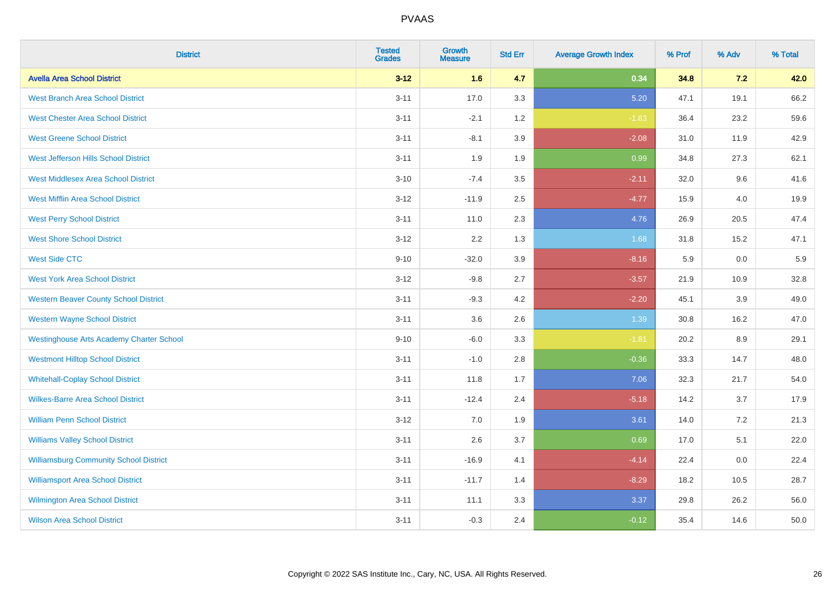| <b>District</b>                                 | <b>Tested</b><br><b>Grades</b> | <b>Growth</b><br><b>Measure</b> | <b>Std Err</b> | <b>Average Growth Index</b> | % Prof | % Adv | % Total |
|-------------------------------------------------|--------------------------------|---------------------------------|----------------|-----------------------------|--------|-------|---------|
| <b>Avella Area School District</b>              | $3 - 12$                       | 1.6                             | 4.7            | 0.34                        | 34.8   | 7.2   | 42.0    |
| <b>West Branch Area School District</b>         | $3 - 11$                       | 17.0                            | 3.3            | 5.20                        | 47.1   | 19.1  | 66.2    |
| <b>West Chester Area School District</b>        | $3 - 11$                       | $-2.1$                          | 1.2            | $-1.83$                     | 36.4   | 23.2  | 59.6    |
| <b>West Greene School District</b>              | $3 - 11$                       | $-8.1$                          | 3.9            | $-2.08$                     | 31.0   | 11.9  | 42.9    |
| West Jefferson Hills School District            | $3 - 11$                       | 1.9                             | 1.9            | 0.99                        | 34.8   | 27.3  | 62.1    |
| <b>West Middlesex Area School District</b>      | $3 - 10$                       | $-7.4$                          | 3.5            | $-2.11$                     | 32.0   | 9.6   | 41.6    |
| <b>West Mifflin Area School District</b>        | $3 - 12$                       | $-11.9$                         | 2.5            | $-4.77$                     | 15.9   | 4.0   | 19.9    |
| <b>West Perry School District</b>               | $3 - 11$                       | 11.0                            | 2.3            | 4.76                        | 26.9   | 20.5  | 47.4    |
| <b>West Shore School District</b>               | $3 - 12$                       | 2.2                             | 1.3            | 1.68                        | 31.8   | 15.2  | 47.1    |
| <b>West Side CTC</b>                            | $9 - 10$                       | $-32.0$                         | 3.9            | $-8.16$                     | 5.9    | 0.0   | 5.9     |
| <b>West York Area School District</b>           | $3 - 12$                       | $-9.8$                          | 2.7            | $-3.57$                     | 21.9   | 10.9  | 32.8    |
| <b>Western Beaver County School District</b>    | $3 - 11$                       | $-9.3$                          | 4.2            | $-2.20$                     | 45.1   | 3.9   | 49.0    |
| <b>Western Wayne School District</b>            | $3 - 11$                       | 3.6                             | 2.6            | 1.39                        | 30.8   | 16.2  | 47.0    |
| <b>Westinghouse Arts Academy Charter School</b> | $9 - 10$                       | $-6.0$                          | 3.3            | $-1.81$                     | 20.2   | 8.9   | 29.1    |
| <b>Westmont Hilltop School District</b>         | $3 - 11$                       | $-1.0$                          | 2.8            | $-0.36$                     | 33.3   | 14.7  | 48.0    |
| <b>Whitehall-Coplay School District</b>         | $3 - 11$                       | 11.8                            | 1.7            | 7.06                        | 32.3   | 21.7  | 54.0    |
| <b>Wilkes-Barre Area School District</b>        | $3 - 11$                       | $-12.4$                         | 2.4            | $-5.18$                     | 14.2   | 3.7   | 17.9    |
| <b>William Penn School District</b>             | $3 - 12$                       | 7.0                             | 1.9            | 3.61                        | 14.0   | 7.2   | 21.3    |
| <b>Williams Valley School District</b>          | $3 - 11$                       | 2.6                             | 3.7            | 0.69                        | 17.0   | 5.1   | 22.0    |
| <b>Williamsburg Community School District</b>   | $3 - 11$                       | $-16.9$                         | 4.1            | $-4.14$                     | 22.4   | 0.0   | 22.4    |
| <b>Williamsport Area School District</b>        | $3 - 11$                       | $-11.7$                         | 1.4            | $-8.29$                     | 18.2   | 10.5  | 28.7    |
| Wilmington Area School District                 | $3 - 11$                       | 11.1                            | 3.3            | 3.37                        | 29.8   | 26.2  | 56.0    |
| <b>Wilson Area School District</b>              | $3 - 11$                       | $-0.3$                          | 2.4            | $-0.12$                     | 35.4   | 14.6  | 50.0    |